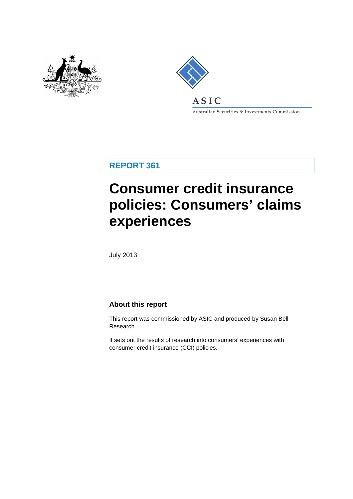



Australian Securities & Investments Commission

**REPORT 361**

# **Consumer credit insurance policies: Consumers' claims experiences**

July 2013

#### **About this report**

This report was commissioned by ASIC and produced by Susan Bell Research.

It sets out the results of research into consumers' experiences with consumer credit insurance (CCI) policies.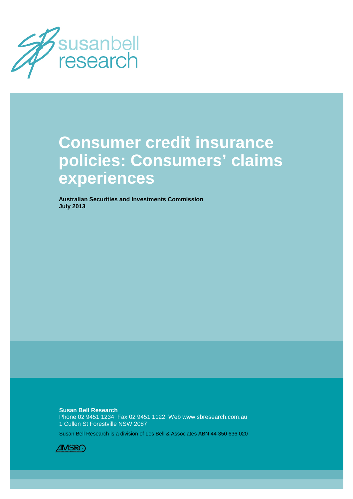

# **Consumer credit insurance policies: Consumers' claims experiences**

**Australian Securities and Investments Commission July 2013**

**Susan Bell Research** Phone 02 9451 1234 Fax 02 9451 1122 Web www.sbresearch.com.au 1 Cullen St Forestville NSW 2087

Susan Bell Research is a division of Les Bell & Associates ABN 44 350 636 020

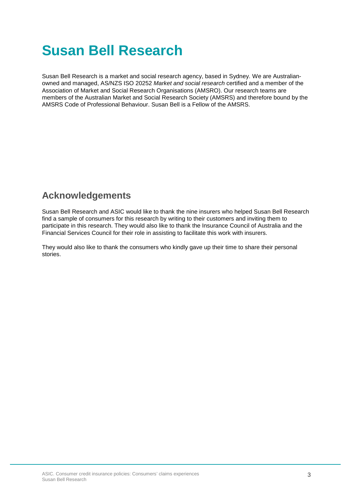# **Susan Bell Research**

Susan Bell Research is a market and social research agency, based in Sydney. We are Australianowned and managed, AS/NZS ISO 20252 *Market and social research* certified and a member of the Association of Market and Social Research Organisations (AMSRO). Our research teams are members of the Australian Market and Social Research Society (AMSRS) and therefore bound by the AMSRS Code of Professional Behaviour. Susan Bell is a Fellow of the AMSRS.

### **Acknowledgements**

Susan Bell Research and ASIC would like to thank the nine insurers who helped Susan Bell Research find a sample of consumers for this research by writing to their customers and inviting them to participate in this research. They would also like to thank the Insurance Council of Australia and the Financial Services Council for their role in assisting to facilitate this work with insurers.

They would also like to thank the consumers who kindly gave up their time to share their personal stories.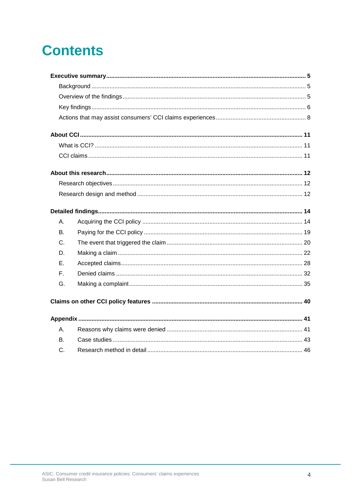# **Contents**

| А.        |  |
|-----------|--|
| B.        |  |
| C.        |  |
| D.        |  |
| Е.        |  |
| F.        |  |
| G.        |  |
|           |  |
|           |  |
| Α.        |  |
| <b>B.</b> |  |
| C.        |  |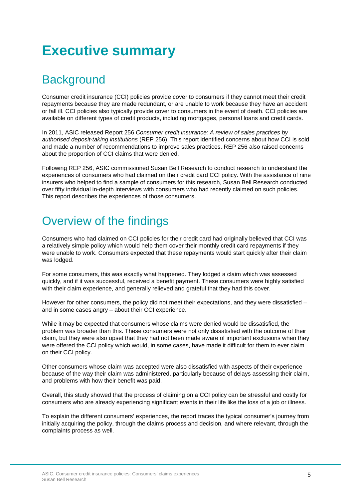# <span id="page-4-0"></span>**Executive summary**

# <span id="page-4-1"></span>**Background**

Consumer credit insurance (CCI) policies provide cover to consumers if they cannot meet their credit repayments because they are made redundant, or are unable to work because they have an accident or fall ill. CCI policies also typically provide cover to consumers in the event of death. CCI policies are available on different types of credit products, including mortgages, personal loans and credit cards.

In 2011, ASIC released Report 256 *Consumer credit insurance: A review of sales practices by authorised deposit-taking institutions* (REP 256). This report identified concerns about how CCI is sold and made a number of recommendations to improve sales practices. REP 256 also raised concerns about the proportion of CCI claims that were denied.

Following REP 256, ASIC commissioned Susan Bell Research to conduct research to understand the experiences of consumers who had claimed on their credit card CCI policy. With the assistance of nine insurers who helped to find a sample of consumers for this research, Susan Bell Research conducted over fifty individual in-depth interviews with consumers who had recently claimed on such policies. This report describes the experiences of those consumers.

## <span id="page-4-2"></span>Overview of the findings

Consumers who had claimed on CCI policies for their credit card had originally believed that CCI was a relatively simple policy which would help them cover their monthly credit card repayments if they were unable to work. Consumers expected that these repayments would start quickly after their claim was lodged.

For some consumers, this was exactly what happened. They lodged a claim which was assessed quickly, and if it was successful, received a benefit payment. These consumers were highly satisfied with their claim experience, and generally relieved and grateful that they had this cover.

However for other consumers, the policy did not meet their expectations, and they were dissatisfied – and in some cases angry – about their CCI experience.

While it may be expected that consumers whose claims were denied would be dissatisfied, the problem was broader than this. These consumers were not only dissatisfied with the outcome of their claim, but they were also upset that they had not been made aware of important exclusions when they were offered the CCI policy which would, in some cases, have made it difficult for them to ever claim on their CCI policy.

Other consumers whose claim was accepted were also dissatisfied with aspects of their experience because of the way their claim was administered, particularly because of delays assessing their claim, and problems with how their benefit was paid.

Overall, this study showed that the process of claiming on a CCI policy can be stressful and costly for consumers who are already experiencing significant events in their life like the loss of a job or illness.

To explain the different consumers' experiences, the report traces the typical consumer's journey from initially acquiring the policy, through the claims process and decision, and where relevant, through the complaints process as well.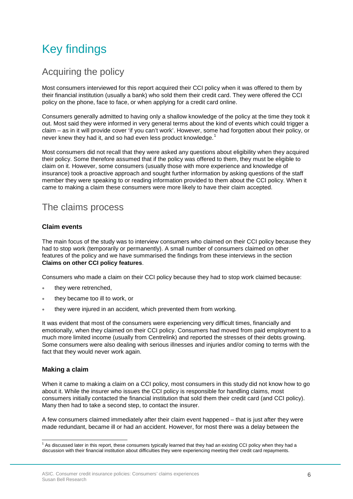# <span id="page-5-0"></span>Key findings

### Acquiring the policy

Most consumers interviewed for this report acquired their CCI policy when it was offered to them by their financial institution (usually a bank) who sold them their credit card. They were offered the CCI policy on the phone, face to face, or when applying for a credit card online.

Consumers generally admitted to having only a shallow knowledge of the policy at the time they took it out. Most said they were informed in very general terms about the kind of events which could trigger a claim – as in it will provide cover 'if you can't work'. However, some had forgotten about their policy, or never knew they had it, and so had even less product knowledge.<sup>[1](#page-5-1)</sup>

Most consumers did not recall that they were asked any questions about eligibility when they acquired their policy. Some therefore assumed that if the policy was offered to them, they must be eligible to claim on it. However, some consumers (usually those with more experience and knowledge of insurance) took a proactive approach and sought further information by asking questions of the staff member they were speaking to or reading information provided to them about the CCI policy. When it came to making a claim these consumers were more likely to have their claim accepted.

### The claims process

#### **Claim events**

The main focus of the study was to interview consumers who claimed on their CCI policy because they had to stop work (temporarily or permanently). A small number of consumers claimed on other features of the policy and we have summarised the findings from these interviews in the section **Claims on other CCI policy features**.

Consumers who made a claim on their CCI policy because they had to stop work claimed because:

- they were retrenched,
- they became too ill to work, or
- they were injured in an accident, which prevented them from working.

It was evident that most of the consumers were experiencing very difficult times, financially and emotionally, when they claimed on their CCI policy. Consumers had moved from paid employment to a much more limited income (usually from Centrelink) and reported the stresses of their debts growing. Some consumers were also dealing with serious illnesses and injuries and/or coming to terms with the fact that they would never work again.

#### **Making a claim**

When it came to making a claim on a CCI policy, most consumers in this study did not know how to go about it. While the insurer who issues the CCI policy is responsible for handling claims, most consumers initially contacted the financial institution that sold them their credit card (and CCI policy). Many then had to take a second step, to contact the insurer.

A few consumers claimed immediately after their claim event happened – that is just after they were made redundant, became ill or had an accident. However, for most there was a delay between the

<span id="page-5-1"></span> $1$  As discussed later in this report, these consumers typically learned that they had an existing CCI policy when they had a discussion with their financial institution about difficulties they were experiencing meeting their credit card repayments. ŧ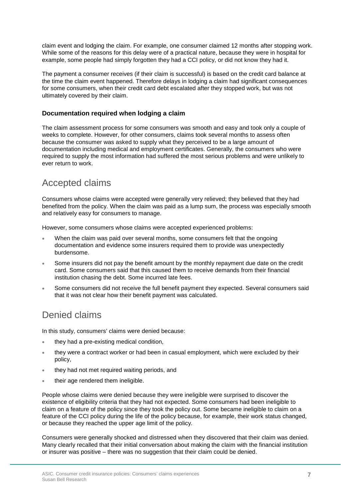claim event and lodging the claim. For example, one consumer claimed 12 months after stopping work. While some of the reasons for this delay were of a practical nature, because they were in hospital for example, some people had simply forgotten they had a CCI policy, or did not know they had it.

The payment a consumer receives (if their claim is successful) is based on the credit card balance at the time the claim event happened. Therefore delays in lodging a claim had significant consequences for some consumers, when their credit card debt escalated after they stopped work, but was not ultimately covered by their claim.

#### **Documentation required when lodging a claim**

The claim assessment process for some consumers was smooth and easy and took only a couple of weeks to complete. However, for other consumers, claims took several months to assess often because the consumer was asked to supply what they perceived to be a large amount of documentation including medical and employment certificates. Generally, the consumers who were required to supply the most information had suffered the most serious problems and were unlikely to ever return to work.

### Accepted claims

Consumers whose claims were accepted were generally very relieved; they believed that they had benefited from the policy. When the claim was paid as a lump sum, the process was especially smooth and relatively easy for consumers to manage.

However, some consumers whose claims were accepted experienced problems:

- When the claim was paid over several months, some consumers felt that the ongoing documentation and evidence some insurers required them to provide was unexpectedly burdensome.
- Some insurers did not pay the benefit amount by the monthly repayment due date on the credit card. Some consumers said that this caused them to receive demands from their financial institution chasing the debt. Some incurred late fees.
- Some consumers did not receive the full benefit payment they expected. Several consumers said that it was not clear how their benefit payment was calculated.

### Denied claims

In this study, consumers' claims were denied because:

- they had a pre-existing medical condition,
- they were a contract worker or had been in casual employment, which were excluded by their policy,
- they had not met required waiting periods, and
- their age rendered them ineligible.

People whose claims were denied because they were ineligible were surprised to discover the existence of eligibility criteria that they had not expected. Some consumers had been ineligible to claim on a feature of the policy since they took the policy out. Some became ineligible to claim on a feature of the CCI policy during the life of the policy because, for example, their work status changed, or because they reached the upper age limit of the policy.

Consumers were generally shocked and distressed when they discovered that their claim was denied. Many clearly recalled that their initial conversation about making the claim with the financial institution or insurer was positive – there was no suggestion that their claim could be denied.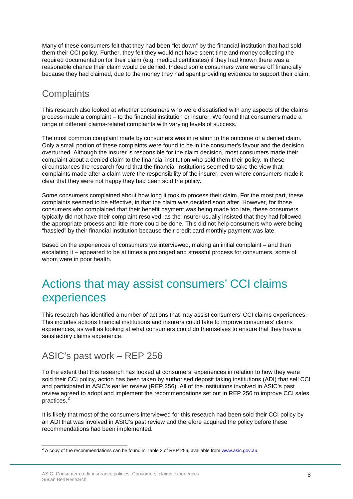Many of these consumers felt that they had been "let down" by the financial institution that had sold them their CCI policy. Further, they felt they would not have spent time and money collecting the required documentation for their claim (e.g. medical certificates) if they had known there was a reasonable chance their claim would be denied. Indeed some consumers were worse off financially because they had claimed, due to the money they had spent providing evidence to support their claim.

### **Complaints**

This research also looked at whether consumers who were dissatisfied with any aspects of the claims process made a complaint – to the financial institution or insurer. We found that consumers made a range of different claims-related complaints with varying levels of success.

The most common complaint made by consumers was in relation to the outcome of a denied claim. Only a small portion of these complaints were found to be in the consumer's favour and the decision overturned. Although the insurer is responsible for the claim decision, most consumers made their complaint about a denied claim to the financial institution who sold them their policy. In these circumstances the research found that the financial institutions seemed to take the view that complaints made after a claim were the responsibility of the insurer, even where consumers made it clear that they were not happy they had been sold the policy.

Some consumers complained about how long it took to process their claim. For the most part, these complaints seemed to be effective, in that the claim was decided soon after. However, for those consumers who complained that their benefit payment was being made too late, these consumers typically did not have their complaint resolved, as the insurer usually insisted that they had followed the appropriate process and little more could be done. This did not help consumers who were being "hassled" by their financial institution because their credit card monthly payment was late.

Based on the experiences of consumers we interviewed, making an initial complaint – and then escalating it – appeared to be at times a prolonged and stressful process for consumers, some of whom were in poor health.

## <span id="page-7-0"></span>Actions that may assist consumers' CCI claims experiences

This research has identified a number of actions that may assist consumers' CCI claims experiences. This includes actions financial institutions and insurers could take to improve consumers' claims experiences, as well as looking at what consumers could do themselves to ensure that they have a satisfactory claims experience.

### ASIC's past work – REP 256

To the extent that this research has looked at consumers' experiences in relation to how they were sold their CCI policy, action has been taken by authorised deposit taking institutions (ADI) that sell CCI and participated in ASIC's earlier review (REP 256). All of the institutions involved in ASIC's past review agreed to adopt and implement the recommendations set out in REP 256 to improve CCI sales practices.<sup>[2](#page-7-1)</sup>

It is likely that most of the consumers interviewed for this research had been sold their CCI policy by an ADI that was involved in ASIC's past review and therefore acquired the policy before these recommendations had been implemented.

<span id="page-7-1"></span> $^2$  A copy of the recommendations can be found in Table 2 of REP 256, available from  $\frac{www.asic.gov.au.}{www.asic.gov.au.}$ Ê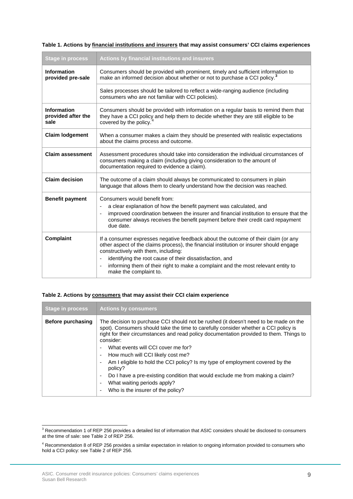| <b>Stage in process</b>                          | Actions by financial institutions and insurers                                                                                                                                                                                                                                                                                                                                                                   |  |
|--------------------------------------------------|------------------------------------------------------------------------------------------------------------------------------------------------------------------------------------------------------------------------------------------------------------------------------------------------------------------------------------------------------------------------------------------------------------------|--|
| <b>Information</b><br>provided pre-sale          | Consumers should be provided with prominent, timely and sufficient information to<br>make an informed decision about whether or not to purchase a CCI policy. <sup>3</sup>                                                                                                                                                                                                                                       |  |
|                                                  | Sales processes should be tailored to reflect a wide-ranging audience (including<br>consumers who are not familiar with CCI policies).                                                                                                                                                                                                                                                                           |  |
| <b>Information</b><br>provided after the<br>sale | Consumers should be provided with information on a regular basis to remind them that<br>they have a CCI policy and help them to decide whether they are still eligible to be<br>covered by the policy. <sup>4</sup>                                                                                                                                                                                              |  |
| <b>Claim lodgement</b>                           | When a consumer makes a claim they should be presented with realistic expectations<br>about the claims process and outcome.                                                                                                                                                                                                                                                                                      |  |
| <b>Claim assessment</b>                          | Assessment procedures should take into consideration the individual circumstances of<br>consumers making a claim (including giving consideration to the amount of<br>documentation required to evidence a claim).                                                                                                                                                                                                |  |
| <b>Claim decision</b>                            | The outcome of a claim should always be communicated to consumers in plain<br>language that allows them to clearly understand how the decision was reached.                                                                                                                                                                                                                                                      |  |
| <b>Benefit payment</b>                           | Consumers would benefit from:<br>a clear explanation of how the benefit payment was calculated, and<br>÷,<br>improved coordination between the insurer and financial institution to ensure that the<br>÷,<br>consumer always receives the benefit payment before their credit card repayment<br>due date.                                                                                                        |  |
| Complaint                                        | If a consumer expresses negative feedback about the outcome of their claim (or any<br>other aspect of the claims process), the financial institution or insurer should engage<br>constructively with them, including:<br>identifying the root cause of their dissatisfaction, and<br>$\centerdot$<br>informing them of their right to make a complaint and the most relevant entity to<br>make the complaint to. |  |

#### **Table 2. Actions by consumers that may assist their CCI claim experience**

| <b>Stage in process</b>  | <b>Actions by consumers</b>                                                                                                                                                                                                                                                         |
|--------------------------|-------------------------------------------------------------------------------------------------------------------------------------------------------------------------------------------------------------------------------------------------------------------------------------|
| <b>Before purchasing</b> | The decision to purchase CCI should not be rushed (it doesn't need to be made on the<br>spot). Consumers should take the time to carefully consider whether a CCI policy is<br>right for their circumstances and read policy documentation provided to them. Things to<br>consider: |
|                          | What events will CCI cover me for?<br>$\overline{\phantom{a}}$                                                                                                                                                                                                                      |
|                          | How much will CCI likely cost me?<br>$\overline{\phantom{a}}$                                                                                                                                                                                                                       |
|                          | Am I eligible to hold the CCI policy? Is my type of employment covered by the<br>policy?                                                                                                                                                                                            |
|                          | Do I have a pre-existing condition that would exclude me from making a claim?<br>$\overline{\phantom{a}}$                                                                                                                                                                           |
|                          | What waiting periods apply?<br>$\blacksquare$                                                                                                                                                                                                                                       |
|                          | Who is the insurer of the policy?<br>٠                                                                                                                                                                                                                                              |

<span id="page-8-0"></span> $3$  Recommendation 1 of REP 256 provides a detailed list of information that ASIC considers should be disclosed to consumers at the time of sale: see Table 2 of REP 256.  $\overline{a}$ 

<span id="page-8-1"></span><sup>&</sup>lt;sup>4</sup> Recommendation 8 of REP 256 provides a similar expectation in relation to ongoing information provided to consumers who hold a CCI policy: see Table 2 of REP 256.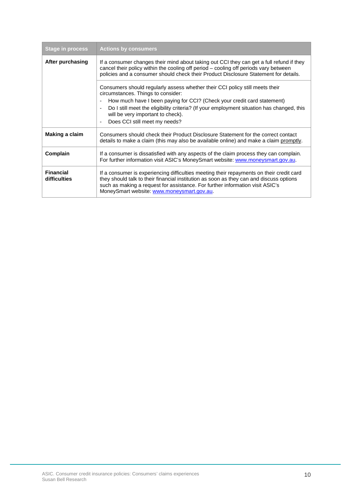| <b>Stage in process</b>          | <b>Actions by consumers</b>                                                                                                                                                                                                                                                                                        |
|----------------------------------|--------------------------------------------------------------------------------------------------------------------------------------------------------------------------------------------------------------------------------------------------------------------------------------------------------------------|
| After purchasing                 | If a consumer changes their mind about taking out CCI they can get a full refund if they<br>cancel their policy within the cooling off period - cooling off periods vary between<br>policies and a consumer should check their Product Disclosure Statement for details.                                           |
|                                  | Consumers should regularly assess whether their CCI policy still meets their<br>circumstances. Things to consider:                                                                                                                                                                                                 |
|                                  | How much have I been paying for CCI? (Check your credit card statement)<br>$\overline{a}$                                                                                                                                                                                                                          |
|                                  | Do I still meet the eligibility criteria? (If your employment situation has changed, this<br>$\overline{a}$<br>will be very important to check).                                                                                                                                                                   |
|                                  | Does CCI still meet my needs?                                                                                                                                                                                                                                                                                      |
| Making a claim                   | Consumers should check their Product Disclosure Statement for the correct contact<br>details to make a claim (this may also be available online) and make a claim promptly.                                                                                                                                        |
| Complain                         | If a consumer is dissatisfied with any aspects of the claim process they can complain.<br>For further information visit ASIC's MoneySmart website: www.moneysmart.gov.au.                                                                                                                                          |
| <b>Financial</b><br>difficulties | If a consumer is experiencing difficulties meeting their repayments on their credit card<br>they should talk to their financial institution as soon as they can and discuss options<br>such as making a request for assistance. For further information visit ASIC's<br>MoneySmart website: www.moneysmart.gov.au. |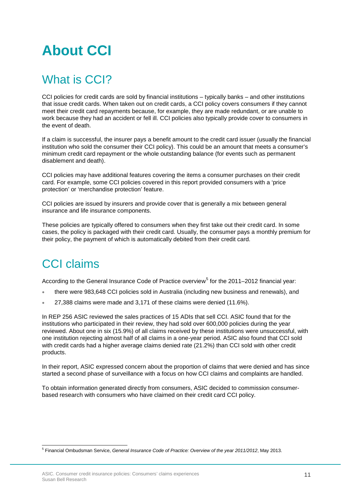# <span id="page-10-0"></span>**About CCI**

# <span id="page-10-1"></span>What is CCI?

CCI policies for credit cards are sold by financial institutions – typically banks – and other institutions that issue credit cards. When taken out on credit cards, a CCI policy covers consumers if they cannot meet their credit card repayments because, for example, they are made redundant, or are unable to work because they had an accident or fell ill. CCI policies also typically provide cover to consumers in the event of death.

If a claim is successful, the insurer pays a benefit amount to the credit card issuer (usually the financial institution who sold the consumer their CCI policy). This could be an amount that meets a consumer's minimum credit card repayment or the whole outstanding balance (for events such as permanent disablement and death).

CCI policies may have additional features covering the items a consumer purchases on their credit card. For example, some CCI policies covered in this report provided consumers with a 'price protection' or 'merchandise protection' feature.

CCI policies are issued by insurers and provide cover that is generally a mix between general insurance and life insurance components.

These policies are typically offered to consumers when they first take out their credit card. In some cases, the policy is packaged with their credit card. Usually, the consumer pays a monthly premium for their policy, the payment of which is automatically debited from their credit card.

# <span id="page-10-2"></span>CCI claims

According to the General Insurance Code of Practice overview<sup>[5](#page-10-3)</sup> for the 2011–2012 financial year:

- there were 983,648 CCI policies sold in Australia (including new business and renewals), and
- 27,388 claims were made and 3,171 of these claims were denied (11.6%).

In REP 256 ASIC reviewed the sales practices of 15 ADIs that sell CCI. ASIC found that for the institutions who participated in their review, they had sold over 600,000 policies during the year reviewed. About one in six (15.9%) of all claims received by these institutions were unsuccessful, with one institution rejecting almost half of all claims in a one-year period. ASIC also found that CCI sold with credit cards had a higher average claims denied rate (21.2%) than CCI sold with other credit products.

In their report, ASIC expressed concern about the proportion of claims that were denied and has since started a second phase of surveillance with a focus on how CCI claims and complaints are handled.

To obtain information generated directly from consumers, ASIC decided to commission consumerbased research with consumers who have claimed on their credit card CCI policy.

<span id="page-10-3"></span><sup>5</sup> Financial Ombudsman Service, *General Insurance Code of Practice: Overview of the year 2011/2012*, May 2013. Ė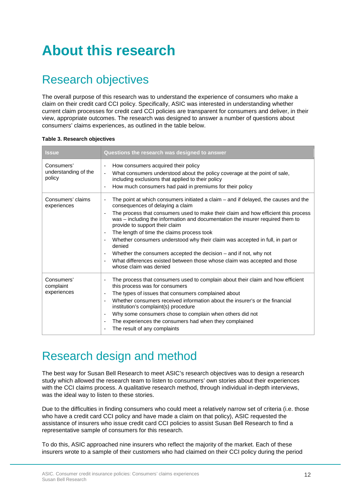# <span id="page-11-0"></span>**About this research**

# <span id="page-11-1"></span>Research objectives

The overall purpose of this research was to understand the experience of consumers who make a claim on their credit card CCI policy. Specifically, ASIC was interested in understanding whether current claim processes for credit card CCI policies are transparent for consumers and deliver, in their view, appropriate outcomes. The research was designed to answer a number of questions about consumers' claims experiences, as outlined in the table below.

| Table 3. Research objectives |  |
|------------------------------|--|
|------------------------------|--|

| <b>Issue</b>                                 | Questions the research was designed to answer                                                                                                                                                                                                                                                                                                                                                                                                                                                                                                                                                                                                                                             |
|----------------------------------------------|-------------------------------------------------------------------------------------------------------------------------------------------------------------------------------------------------------------------------------------------------------------------------------------------------------------------------------------------------------------------------------------------------------------------------------------------------------------------------------------------------------------------------------------------------------------------------------------------------------------------------------------------------------------------------------------------|
| Consumers'<br>understanding of the<br>policy | How consumers acquired their policy<br>What consumers understood about the policy coverage at the point of sale,<br>including exclusions that applied to their policy<br>How much consumers had paid in premiums for their policy<br>-                                                                                                                                                                                                                                                                                                                                                                                                                                                    |
| Consumers' claims<br>experiences             | The point at which consumers initiated a claim – and if delayed, the causes and the<br>consequences of delaying a claim<br>The process that consumers used to make their claim and how efficient this process<br>was - including the information and documentation the insurer required them to<br>provide to support their claim<br>The length of time the claims process took<br>$\overline{\phantom{a}}$<br>Whether consumers understood why their claim was accepted in full, in part or<br>denied<br>Whether the consumers accepted the decision $-$ and if not, why not<br>-<br>What differences existed between those whose claim was accepted and those<br>whose claim was denied |
| Consumers'<br>complaint<br>experiences       | The process that consumers used to complain about their claim and how efficient<br>this process was for consumers<br>The types of issues that consumers complained about<br>$\overline{\phantom{a}}$<br>Whether consumers received information about the insurer's or the financial<br>$\overline{\phantom{a}}$<br>institution's complaint(s) procedure<br>Why some consumers chose to complain when others did not<br>$\overline{\phantom{a}}$<br>The experiences the consumers had when they complained<br>-<br>The result of any complaints                                                                                                                                            |

## <span id="page-11-2"></span>Research design and method

The best way for Susan Bell Research to meet ASIC's research objectives was to design a research study which allowed the research team to listen to consumers' own stories about their experiences with the CCI claims process. A qualitative research method, through individual in-depth interviews, was the ideal way to listen to these stories.

Due to the difficulties in finding consumers who could meet a relatively narrow set of criteria (i.e. those who have a credit card CCI policy and have made a claim on that policy), ASIC requested the assistance of insurers who issue credit card CCI policies to assist Susan Bell Research to find a representative sample of consumers for this research.

To do this, ASIC approached nine insurers who reflect the majority of the market. Each of these insurers wrote to a sample of their customers who had claimed on their CCI policy during the period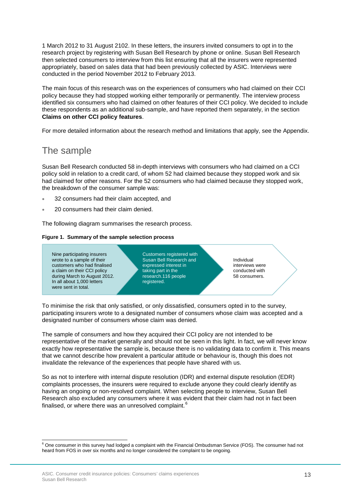1 March 2012 to 31 August 2102. In these letters, the insurers invited consumers to opt in to the research project by registering with Susan Bell Research by phone or online. Susan Bell Research then selected consumers to interview from this list ensuring that all the insurers were represented appropriately, based on sales data that had been previously collected by ASIC. Interviews were conducted in the period November 2012 to February 2013.

The main focus of this research was on the experiences of consumers who had claimed on their CCI policy because they had stopped working either temporarily or permanently. The interview process identified six consumers who had claimed on other features of their CCI policy. We decided to include these respondents as an additional sub-sample, and have reported them separately, in the section **Claims on other CCI policy features**.

For more detailed information about the research method and limitations that apply, see the Appendix.

### The sample

Susan Bell Research conducted 58 in-depth interviews with consumers who had claimed on a CCI policy sold in relation to a credit card, of whom 52 had claimed because they stopped work and six had claimed for other reasons. For the 52 consumers who had claimed because they stopped work, the breakdown of the consumer sample was:

- 32 consumers had their claim accepted, and
- 20 consumers had their claim denied.

The following diagram summarises the research process.

#### **Figure 1. Summary of the sample selection process**



To minimise the risk that only satisfied, or only dissatisfied, consumers opted in to the survey, participating insurers wrote to a designated number of consumers whose claim was accepted and a designated number of consumers whose claim was denied.

The sample of consumers and how they acquired their CCI policy are not intended to be representative of the market generally and should not be seen in this light. In fact, we will never know exactly how representative the sample is, because there is no validating data to confirm it. This means that we cannot describe how prevalent a particular attitude or behaviour is, though this does not invalidate the relevance of the experiences that people have shared with us.

So as not to interfere with internal dispute resolution (IDR) and external dispute resolution (EDR) complaints processes, the insurers were required to exclude anyone they could clearly identify as having an ongoing or non-resolved complaint. When selecting people to interview, Susan Bell Research also excluded any consumers where it was evident that their claim had not in fact been finalised, or where there was an unresolved complaint.  $^6$  $^6$ 

<span id="page-12-0"></span> $6$  One consumer in this survey had lodged a complaint with the Financial Ombudsman Service (FOS). The consumer had not heard from FOS in over six months and no longer considered the complaint to be ongoing. ŧ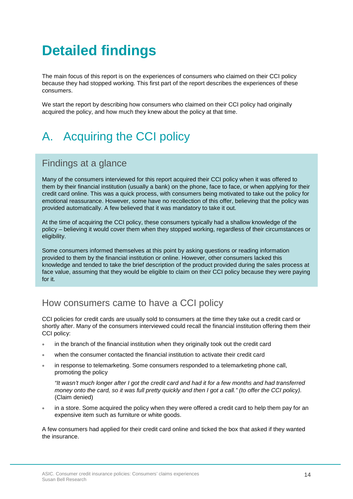# <span id="page-13-0"></span>**Detailed findings**

The main focus of this report is on the experiences of consumers who claimed on their CCI policy because they had stopped working. This first part of the report describes the experiences of these consumers.

We start the report by describing how consumers who claimed on their CCI policy had originally acquired the policy, and how much they knew about the policy at that time.

# <span id="page-13-1"></span>A. Acquiring the CCI policy

### Findings at a glance

Many of the consumers interviewed for this report acquired their CCI policy when it was offered to them by their financial institution (usually a bank) on the phone, face to face, or when applying for their credit card online. This was a quick process, with consumers being motivated to take out the policy for emotional reassurance. However, some have no recollection of this offer, believing that the policy was provided automatically. A few believed that it was mandatory to take it out.

At the time of acquiring the CCI policy, these consumers typically had a shallow knowledge of the policy – believing it would cover them when they stopped working, regardless of their circumstances or eligibility.

Some consumers informed themselves at this point by asking questions or reading information provided to them by the financial institution or online. However, other consumers lacked this knowledge and tended to take the brief description of the product provided during the sales process at face value, assuming that they would be eligible to claim on their CCI policy because they were paying for it.

### How consumers came to have a CCI policy

CCI policies for credit cards are usually sold to consumers at the time they take out a credit card or shortly after. Many of the consumers interviewed could recall the financial institution offering them their CCI policy:

- in the branch of the financial institution when they originally took out the credit card
- when the consumer contacted the financial institution to activate their credit card
- in response to telemarketing. Some consumers responded to a telemarketing phone call, promoting the policy

*"It wasn't much longer after I got the credit card and had it for a few months and had transferred money onto the card, so it was full pretty quickly and then I got a call." (to offer the CCI policy).*  (Claim denied)

in a store. Some acquired the policy when they were offered a credit card to help them pay for an expensive item such as furniture or white goods.

A few consumers had applied for their credit card online and ticked the box that asked if they wanted the insurance.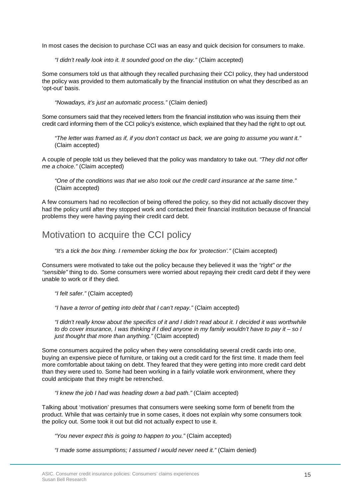In most cases the decision to purchase CCI was an easy and quick decision for consumers to make.

*"I didn't really look into it. It sounded good on the day."* (Claim accepted)

Some consumers told us that although they recalled purchasing their CCI policy, they had understood the policy was provided to them automatically by the financial institution on what they described as an 'opt-out' basis.

*"Nowadays, it's just an automatic process."* (Claim denied)

Some consumers said that they received letters from the financial institution who was issuing them their credit card informing them of the CCI policy's existence, which explained that they had the right to opt out.

*"The letter was framed as if, if you don't contact us back, we are going to assume you want it."* (Claim accepted)

A couple of people told us they believed that the policy was mandatory to take out. *"They did not offer me a choice."* (Claim accepted)

*"One of the conditions was that we also took out the credit card insurance at the same time."* (Claim accepted)

A few consumers had no recollection of being offered the policy, so they did not actually discover they had the policy until after they stopped work and contacted their financial institution because of financial problems they were having paying their credit card debt.

### Motivation to acquire the CCI policy

*"It's a tick the box thing. I remember ticking the box for 'protection'."* (Claim accepted)

Consumers were motivated to take out the policy because they believed it was the *"right" or the "sensible"* thing to do. Some consumers were worried about repaying their credit card debt if they were unable to work or if they died.

*"I felt safer."* (Claim accepted)

*"I have a terror of getting into debt that I can't repay."* (Claim accepted)

*"I didn't really know about the specifics of it and I didn't read about it. I decided it was worthwhile to do cover insurance, I was thinking if I died anyone in my family wouldn't have to pay it – so I just thought that more than anything."* (Claim accepted)

Some consumers acquired the policy when they were consolidating several credit cards into one, buying an expensive piece of furniture, or taking out a credit card for the first time. It made them feel more comfortable about taking on debt. They feared that they were getting into more credit card debt than they were used to. Some had been working in a fairly volatile work environment, where they could anticipate that they might be retrenched.

*"I knew the job I had was heading down a bad path."* (Claim accepted)

Talking about 'motivation' presumes that consumers were seeking some form of benefit from the product. While that was certainly true in some cases, it does not explain why some consumers took the policy out. Some took it out but did not actually expect to use it.

*"You never expect this is going to happen to you."* (Claim accepted)

*"I made some assumptions; I assumed I would never need it."* (Claim denied)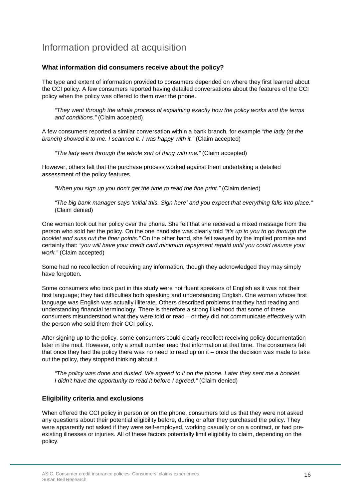### Information provided at acquisition

#### **What information did consumers receive about the policy?**

The type and extent of information provided to consumers depended on where they first learned about the CCI policy. A few consumers reported having detailed conversations about the features of the CCI policy when the policy was offered to them over the phone.

*"They went through the whole process of explaining exactly how the policy works and the terms and conditions."* (Claim accepted)

A few consumers reported a similar conversation within a bank branch, for example *"the lady (at the branch) showed it to me. I scanned it. I was happy with it."* (Claim accepted)

*"The lady went through the whole sort of thing with me."* (Claim accepted)

However, others felt that the purchase process worked against them undertaking a detailed assessment of the policy features.

*"When you sign up you don't get the time to read the fine print."* (Claim denied)

*"The big bank manager says 'Initial this. Sign here' and you expect that everything falls into place."* (Claim denied)

One woman took out her policy over the phone. She felt that she received a mixed message from the person who sold her the policy. On the one hand she was clearly told *"it's up to you to go through the booklet and suss out the finer points."* On the other hand, she felt swayed by the implied promise and certainty that: *"you will have your credit card minimum repayment repaid until you could resume your work."* (Claim accepted)

Some had no recollection of receiving any information, though they acknowledged they may simply have forgotten.

Some consumers who took part in this study were not fluent speakers of English as it was not their first language; they had difficulties both speaking and understanding English. One woman whose first language was English was actually illiterate. Others described problems that they had reading and understanding financial terminology. There is therefore a strong likelihood that some of these consumers misunderstood what they were told or read – or they did not communicate effectively with the person who sold them their CCI policy.

After signing up to the policy, some consumers could clearly recollect receiving policy documentation later in the mail. However, only a small number read that information at that time. The consumers felt that once they had the policy there was no need to read up on it – once the decision was made to take out the policy, they stopped thinking about it.

*"The policy was done and dusted. We agreed to it on the phone. Later they sent me a booklet. I didn't have the opportunity to read it before I agreed."* (Claim denied)

#### **Eligibility criteria and exclusions**

When offered the CCI policy in person or on the phone, consumers told us that they were not asked any questions about their potential eligibility before, during or after they purchased the policy. They were apparently not asked if they were self-employed, working casually or on a contract, or had preexisting illnesses or injuries. All of these factors potentially limit eligibility to claim, depending on the policy.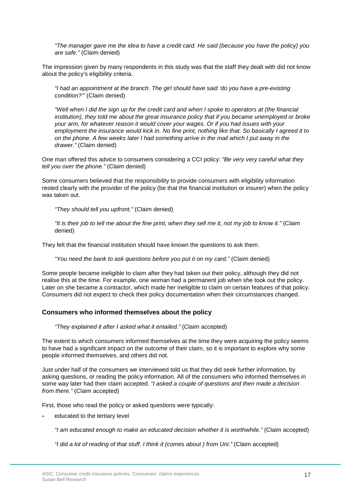*"The manager gave me the idea to have a credit card. He said (because you have the policy) you are safe."* (Claim denied)

The impression given by many respondents in this study was that the staff they dealt with did not know about the policy's eligibility criteria.

*"I had an appointment at the branch. The girl should have said 'do you have a pre-existing condition?'"* (Claim denied)

*"Well when I did the sign up for the credit card and when I spoke to operators at (the financial institution), they told me about the great insurance policy that if you became unemployed or broke your arm, for whatever reason it would cover your wages. Or if you had issues with your employment the insurance would kick in. No fine print, nothing like that. So basically I agreed it to on the phone. A few weeks later I had something arrive in the mail which I put away in the drawer."* (Claim denied)

One man offered this advice to consumers considering a CCI policy: *"Be very very careful what they tell you over the phone."* (Claim denied)

Some consumers believed that the responsibility to provide consumers with eligibility information rested clearly with the provider of the policy (be that the financial institution or insurer) when the policy was taken out.

*"They should tell you upfront."* (Claim denied)

*"It is their job to tell me about the fine print, when they sell me it, not my job to know it."* (Claim denied)

They felt that the financial institution should have known the questions to ask them.

*"You need the bank to ask questions before you put it on my card."* (Claim denied)

Some people became ineligible to claim after they had taken out their policy, although they did not realise this at the time. For example, one woman had a permanent job when she took out the policy. Later on she became a contractor, which made her ineligible to claim on certain features of that policy. Consumers did not expect to check their policy documentation when their circumstances changed.

#### **Consumers who informed themselves about the policy**

*"They explained it after I asked what it entailed."* (Claim accepted)

The extent to which consumers informed themselves at the time they were acquiring the policy seems to have had a significant impact on the outcome of their claim, so it is important to explore why some people informed themselves, and others did not.

Just under half of the consumers we interviewed told us that they did seek further information, by asking questions, or reading the policy information. All of the consumers who informed themselves in some way later had their claim accepted. *"I asked a couple of questions and then made a decision from there."* (Claim accepted)

First, those who read the policy or asked questions were typically:

educated to the tertiary level

*"I am educated enough to make an educated decision whether it is worthwhile."* (Claim accepted)

*"I did a lot of reading of that stuff. I think it (comes about ) from Uni."* (Claim accepted)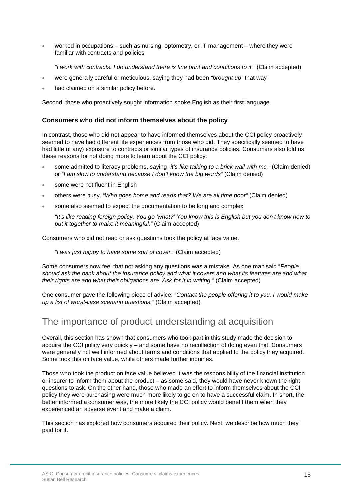- worked in occupations such as nursing, optometry, or IT management where they were familiar with contracts and policies
	- *"I work with contracts. I do understand there is fine print and conditions to it."* (Claim accepted)
- were generally careful or meticulous, saying they had been *"brought up"* that way
- had claimed on a similar policy before.

Second, those who proactively sought information spoke English as their first language.

#### **Consumers who did not inform themselves about the policy**

In contrast, those who did not appear to have informed themselves about the CCI policy proactively seemed to have had different life experiences from those who did. They specifically seemed to have had little (if any) exposure to contracts or similar types of insurance policies. Consumers also told us these reasons for not doing more to learn about the CCI policy:

- some admitted to literacy problems, saying "*it's like talking to a brick wall with me,"* (Claim denied) or *"I am slow to understand because I don't know the big words"* (Claim denied)
- some were not fluent in English
- others were busy. "*Who goes home and reads that? We are all time poor"* (Claim denied)
- some also seemed to expect the documentation to be long and complex

*"It's like reading foreign policy. You go 'what?' You know this is English but you don't know how to put it together to make it meaningful."* (Claim accepted)

Consumers who did not read or ask questions took the policy at face value.

*"I was just happy to have some sort of cover."* (Claim accepted)

Some consumers now feel that not asking any questions was a mistake. As one man said "*People should ask the bank about the insurance policy and what it covers and what its features are and what their rights are and what their obligations are. Ask for it in writing."* (Claim accepted)

One consumer gave the following piece of advice: *"Contact the people offering it to you. I would make up a list of worst-case scenario questions."* (Claim accepted)

### The importance of product understanding at acquisition

Overall, this section has shown that consumers who took part in this study made the decision to acquire the CCI policy very quickly – and some have no recollection of doing even that. Consumers were generally not well informed about terms and conditions that applied to the policy they acquired. Some took this on face value, while others made further inquiries.

Those who took the product on face value believed it was the responsibility of the financial institution or insurer to inform them about the product – as some said, they would have never known the right questions to ask. On the other hand, those who made an effort to inform themselves about the CCI policy they were purchasing were much more likely to go on to have a successful claim. In short, the better informed a consumer was, the more likely the CCI policy would benefit them when they experienced an adverse event and make a claim.

This section has explored how consumers acquired their policy. Next, we describe how much they paid for it.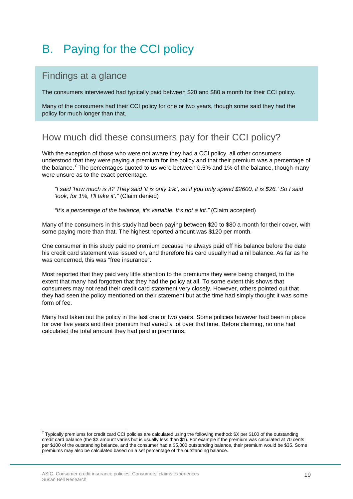# <span id="page-18-0"></span>B. Paying for the CCI policy

### Findings at a glance

The consumers interviewed had typically paid between \$20 and \$80 a month for their CCI policy.

Many of the consumers had their CCI policy for one or two years, though some said they had the policy for much longer than that.

### How much did these consumers pay for their CCI policy?

With the exception of those who were not aware they had a CCI policy, all other consumers understood that they were paying a premium for the policy and that their premium was a percentage of the balance.<sup>[7](#page-18-1)</sup> The percentages quoted to us were between 0.5% and 1% of the balance, though many were unsure as to the exact percentage.

*"I said 'how much is it? They said 'it is only 1%', so if you only spend \$2600, it is \$26.' So I said 'look, for 1%, I'll take it'."* (Claim denied)

*"It's a percentage of the balance, it's variable. It's not a lot."* (Claim accepted)

Many of the consumers in this study had been paying between \$20 to \$80 a month for their cover, with some paying more than that. The highest reported amount was \$120 per month.

One consumer in this study paid no premium because he always paid off his balance before the date his credit card statement was issued on, and therefore his card usually had a nil balance. As far as he was concerned, this was "free insurance".

Most reported that they paid very little attention to the premiums they were being charged, to the extent that many had forgotten that they had the policy at all. To some extent this shows that consumers may not read their credit card statement very closely. However, others pointed out that they had seen the policy mentioned on their statement but at the time had simply thought it was some form of fee.

Many had taken out the policy in the last one or two years. Some policies however had been in place for over five years and their premium had varied a lot over that time. Before claiming, no one had calculated the total amount they had paid in premiums.

<span id="page-18-1"></span> $^7$  Typically premiums for credit card CCI policies are calculated using the following method: \$X per \$100 of the outstanding credit card balance (the \$X amount varies but is usually less than \$1). For example if the premium was calculated at 70 cents per \$100 of the outstanding balance, and the consumer had a \$5,000 outstanding balance, their premium would be \$35. Some premiums may also be calculated based on a set percentage of the outstanding balance.  $\overline{a}$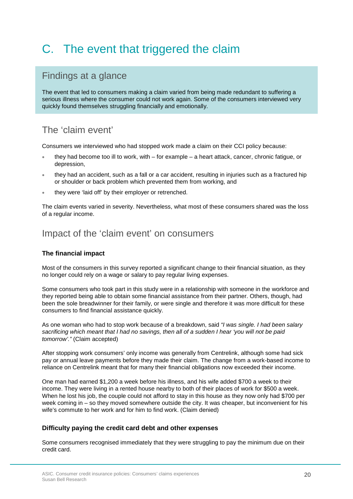# <span id="page-19-0"></span>C. The event that triggered the claim

### Findings at a glance

The event that led to consumers making a claim varied from being made redundant to suffering a serious illness where the consumer could not work again. Some of the consumers interviewed very quickly found themselves struggling financially and emotionally.

### The 'claim event'

Consumers we interviewed who had stopped work made a claim on their CCI policy because:

- they had become too ill to work, with for example a heart attack, cancer, chronic fatigue, or depression,
- they had an accident, such as a fall or a car accident, resulting in injuries such as a fractured hip or shoulder or back problem which prevented them from working, and
- they were 'laid off' by their employer or retrenched.

The claim events varied in severity. Nevertheless, what most of these consumers shared was the loss of a regular income.

### Impact of the 'claim event' on consumers

#### **The financial impact**

Most of the consumers in this survey reported a significant change to their financial situation, as they no longer could rely on a wage or salary to pay regular living expenses.

Some consumers who took part in this study were in a relationship with someone in the workforce and they reported being able to obtain some financial assistance from their partner. Others, though, had been the sole breadwinner for their family, or were single and therefore it was more difficult for these consumers to find financial assistance quickly.

As one woman who had to stop work because of a breakdown, said *"I was single. I had been salary sacrificing which meant that I had no savings, then all of a sudden I hear 'you will not be paid tomorrow'."* (Claim accepted)

After stopping work consumers' only income was generally from Centrelink, although some had sick pay or annual leave payments before they made their claim. The change from a work-based income to reliance on Centrelink meant that for many their financial obligations now exceeded their income.

One man had earned \$1,200 a week before his illness, and his wife added \$700 a week to their income. They were living in a rented house nearby to both of their places of work for \$500 a week. When he lost his job, the couple could not afford to stay in this house as they now only had \$700 per week coming in – so they moved somewhere outside the city. It was cheaper, but inconvenient for his wife's commute to her work and for him to find work. (Claim denied)

#### **Difficulty paying the credit card debt and other expenses**

Some consumers recognised immediately that they were struggling to pay the minimum due on their credit card.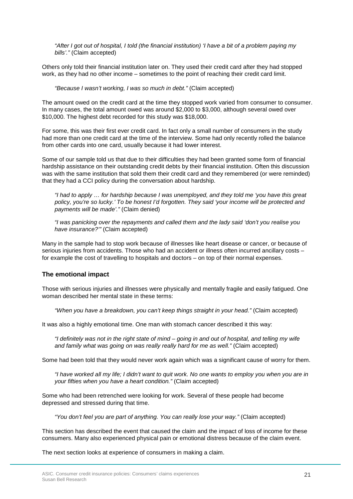*"After I got out of hospital, I told (the financial institution) 'I have a bit of a problem paying my bills'."* (Claim accepted)

Others only told their financial institution later on. They used their credit card after they had stopped work, as they had no other income – sometimes to the point of reaching their credit card limit.

*"Because I wasn't working, I was so much in debt."* (Claim accepted)

The amount owed on the credit card at the time they stopped work varied from consumer to consumer. In many cases, the total amount owed was around \$2,000 to \$3,000, although several owed over \$10,000. The highest debt recorded for this study was \$18,000.

For some, this was their first ever credit card. In fact only a small number of consumers in the study had more than one credit card at the time of the interview. Some had only recently rolled the balance from other cards into one card, usually because it had lower interest.

Some of our sample told us that due to their difficulties they had been granted some form of financial hardship assistance on their outstanding credit debts by their financial institution. Often this discussion was with the same institution that sold them their credit card and they remembered (or were reminded) that they had a CCI policy during the conversation about hardship.

*"I had to apply … for hardship because I was unemployed, and they told me 'you have this great policy, you're so lucky.' To be honest I'd forgotten. They said 'your income will be protected and payments will be made'."* (Claim denied)

*"I was panicking over the repayments and called them and the lady said 'don't you realise you have insurance?'"* (Claim accepted)

Many in the sample had to stop work because of illnesses like heart disease or cancer, or because of serious injuries from accidents. Those who had an accident or illness often incurred ancillary costs for example the cost of travelling to hospitals and doctors – on top of their normal expenses.

#### **The emotional impact**

Those with serious injuries and illnesses were physically and mentally fragile and easily fatigued. One woman described her mental state in these terms:

*"When you have a breakdown, you can't keep things straight in your head."* (Claim accepted)

It was also a highly emotional time. One man with stomach cancer described it this way:

*"I definitely was not in the right state of mind – going in and out of hospital, and telling my wife and family what was going on was really really hard for me as well."* (Claim accepted)

Some had been told that they would never work again which was a significant cause of worry for them.

*"I have worked all my life; I didn't want to quit work. No one wants to employ you when you are in your fifties when you have a heart condition."* (Claim accepted)

Some who had been retrenched were looking for work. Several of these people had become depressed and stressed during that time.

*"You don't feel you are part of anything. You can really lose your way."* (Claim accepted)

This section has described the event that caused the claim and the impact of loss of income for these consumers. Many also experienced physical pain or emotional distress because of the claim event.

The next section looks at experience of consumers in making a claim.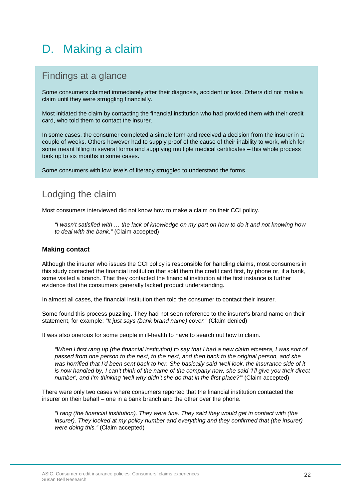## <span id="page-21-0"></span>D. Making a claim

### Findings at a glance

Some consumers claimed immediately after their diagnosis, accident or loss. Others did not make a claim until they were struggling financially.

Most initiated the claim by contacting the financial institution who had provided them with their credit card, who told them to contact the insurer.

In some cases, the consumer completed a simple form and received a decision from the insurer in a couple of weeks. Others however had to supply proof of the cause of their inability to work, which for some meant filling in several forms and supplying multiple medical certificates – this whole process took up to six months in some cases.

Some consumers with low levels of literacy struggled to understand the forms.

### Lodging the claim

Most consumers interviewed did not know how to make a claim on their CCI policy.

*"I wasn't satisfied with … the lack of knowledge on my part on how to do it and not knowing how to deal with the bank."* (Claim accepted)

#### **Making contact**

Although the insurer who issues the CCI policy is responsible for handling claims, most consumers in this study contacted the financial institution that sold them the credit card first, by phone or, if a bank, some visited a branch. That they contacted the financial institution at the first instance is further evidence that the consumers generally lacked product understanding.

In almost all cases, the financial institution then told the consumer to contact their insurer.

Some found this process puzzling. They had not seen reference to the insurer's brand name on their statement, for example: *"It just says (bank brand name) cover."* (Claim denied)

It was also onerous for some people in ill-health to have to search out how to claim.

*"When I first rang up (the financial institution) to say that I had a new claim etcetera, I was sort of passed from one person to the next, to the next, and then back to the original person, and she*  was horrified that I'd been sent back to her. She basically said 'well look, the insurance side of it *is now handled by, I can't think of the name of the company now, she said 'I'll give you their direct number', and I'm thinking 'well why didn't she do that in the first place?'"* (Claim accepted)

There were only two cases where consumers reported that the financial institution contacted the insurer on their behalf – one in a bank branch and the other over the phone.

*"I rang (the financial institution). They were fine. They said they would get in contact with (the insurer). They looked at my policy number and everything and they confirmed that (the insurer) were doing this."* (Claim accepted)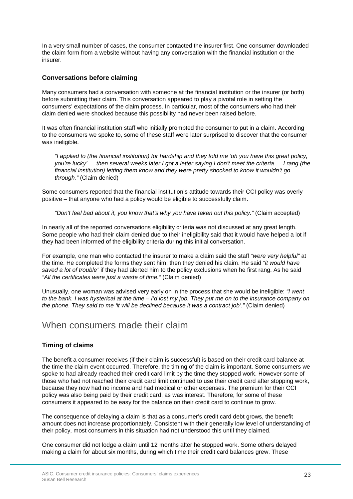In a very small number of cases, the consumer contacted the insurer first. One consumer downloaded the claim form from a website without having any conversation with the financial institution or the insurer.

#### **Conversations before claiming**

Many consumers had a conversation with someone at the financial institution or the insurer (or both) before submitting their claim. This conversation appeared to play a pivotal role in setting the consumers' expectations of the claim process. In particular, most of the consumers who had their claim denied were shocked because this possibility had never been raised before.

It was often financial institution staff who initially prompted the consumer to put in a claim. According to the consumers we spoke to, some of these staff were later surprised to discover that the consumer was ineligible.

*"I applied to (the financial institution) for hardship and they told me 'oh you have this great policy, you're lucky' … then several weeks later I got a letter saying I don't meet the criteria … I rang (the financial institution) letting them know and they were pretty shocked to know it wouldn't go through."* (Claim denied)

Some consumers reported that the financial institution's attitude towards their CCI policy was overly positive – that anyone who had a policy would be eligible to successfully claim.

*"Don't feel bad about it, you know that's why you have taken out this policy."* (Claim accepted)

In nearly all of the reported conversations eligibility criteria was not discussed at any great length. Some people who had their claim denied due to their ineligibility said that it would have helped a lot if they had been informed of the eligibility criteria during this initial conversation.

For example, one man who contacted the insurer to make a claim said the staff *"were very helpful"* at the time. He completed the forms they sent him, then they denied his claim. He said *"it would have saved a lot of trouble"* if they had alerted him to the policy exclusions when he first rang. As he said *"All the certificates were just a waste of time."* (Claim denied)

Unusually, one woman was advised very early on in the process that she would be ineligible: *"I went to the bank. I was hysterical at the time – I'd lost my job. They put me on to the insurance company on the phone. They said to me 'it will be declined because it was a contract job'."* (Claim denied)

#### When consumers made their claim

#### **Timing of claims**

The benefit a consumer receives (if their claim is successful) is based on their credit card balance at the time the claim event occurred. Therefore, the timing of the claim is important. Some consumers we spoke to had already reached their credit card limit by the time they stopped work. However some of those who had not reached their credit card limit continued to use their credit card after stopping work, because they now had no income and had medical or other expenses. The premium for their CCI policy was also being paid by their credit card, as was interest. Therefore, for some of these consumers it appeared to be easy for the balance on their credit card to continue to grow.

The consequence of delaying a claim is that as a consumer's credit card debt grows, the benefit amount does not increase proportionately. Consistent with their generally low level of understanding of their policy, most consumers in this situation had not understood this until they claimed.

One consumer did not lodge a claim until 12 months after he stopped work. Some others delayed making a claim for about six months, during which time their credit card balances grew. These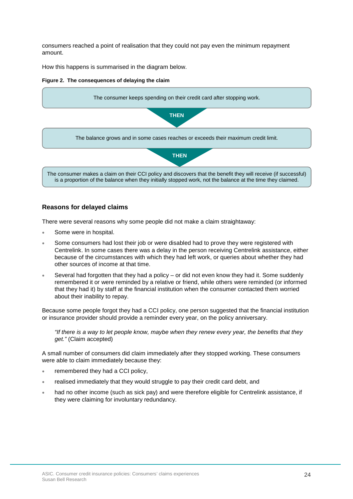consumers reached a point of realisation that they could not pay even the minimum repayment amount.

How this happens is summarised in the diagram below.

#### **Figure 2. The consequences of delaying the claim**



#### **Reasons for delayed claims**

There were several reasons why some people did not make a claim straightaway:

- Some were in hospital.
- Some consumers had lost their job or were disabled had to prove they were registered with Centrelink. In some cases there was a delay in the person receiving Centrelink assistance, either because of the circumstances with which they had left work, or queries about whether they had other sources of income at that time.
- Several had forgotten that they had a policy or did not even know they had it. Some suddenly remembered it or were reminded by a relative or friend, while others were reminded (or informed that they had it) by staff at the financial institution when the consumer contacted them worried about their inability to repay.

Because some people forgot they had a CCI policy, one person suggested that the financial institution or insurance provider should provide a reminder every year, on the policy anniversary.

*"If there is a way to let people know, maybe when they renew every year, the benefits that they get."* (Claim accepted)

A small number of consumers did claim immediately after they stopped working. These consumers were able to claim immediately because they:

- remembered they had a CCI policy,
- realised immediately that they would struggle to pay their credit card debt, and
- had no other income (such as sick pay) and were therefore eligible for Centrelink assistance, if they were claiming for involuntary redundancy.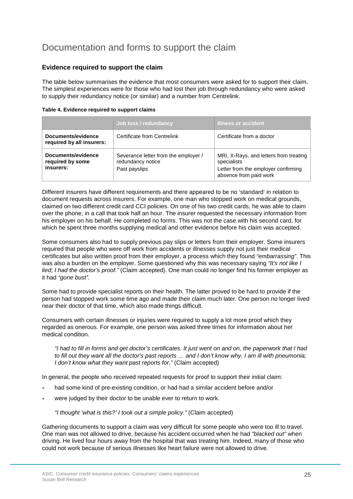### Documentation and forms to support the claim

#### **Evidence required to support the claim**

The table below summarises the evidence that most consumers were asked for to support their claim. The simplest experiences were for those who had lost their job through redundancy who were asked to supply their redundancy notice (or similar) and a number from Centrelink.

| Table 4. Evidence required to support claims |  |  |  |
|----------------------------------------------|--|--|--|
|----------------------------------------------|--|--|--|

|                                                     | Job loss / redundancy                                                      | <b>Illness or accident</b>                                                                                             |
|-----------------------------------------------------|----------------------------------------------------------------------------|------------------------------------------------------------------------------------------------------------------------|
| Documents/evidence<br>required by all insurers:     | Certificate from Centrelink                                                | Certificate from a doctor                                                                                              |
| Documents/evidence<br>required by some<br>insurers: | Severance letter from the employer /<br>redundancy notice<br>Past payslips | MRI, X-Rays, and letters from treating<br>specialists<br>Letter from the employer confirming<br>absence from paid work |

Different insurers have different requirements and there appeared to be no 'standard' in relation to document requests across insurers. For example, one man who stopped work on medical grounds, claimed on two different credit card CCI policies. On one of his two credit cards, he was able to claim over the phone, in a call that took half an hour. The insurer requested the necessary information from his employer on his behalf. He completed no forms. This was not the case with his second card, for which he spent three months supplying medical and other evidence before his claim was accepted.

Some consumers also had to supply previous pay slips or letters from their employer. Some insurers required that people who were off work from accidents or illnesses supply not just their medical certificates but also written proof from their employer, a process which they found *"embarrassing"*. This was also a burden on the employer. Some questioned why this was necessary saying *"It's not like I lied; I had the doctor's proof*.*"* (Claim accepted). One man could no longer find his former employer as it had *"gone bust".*

Some had to provide specialist reports on their health. The latter proved to be hard to provide if the person had stopped work some time ago and made their claim much later. One person no longer lived near their doctor of that time, which also made things difficult.

Consumers with certain illnesses or injuries were required to supply a lot more proof which they regarded as onerous. For example, one person was asked three times for information about her medical condition.

*"I had to fill in forms and get doctor's certificates. It just went on and on, the paperwork that I had to fill out they want all the doctor's past reports … and I don't know why. I am ill with pneumonia; I don't know what they want past reports for."* (Claim accepted)

In general, the people who received repeated requests for proof to support their initial claim:

- had some kind of pre-existing condition, or had had a similar accident before and/or
- were judged by their doctor to be unable ever to return to work.

*"I thought 'what is this?' I took out a simple policy."* (Claim accepted)

Gathering documents to support a claim was very difficult for some people who were too ill to travel. One man was not allowed to drive, because his accident occurred when he had *"blacked out"* when driving. He lived four hours away from the hospital that was treating him. Indeed, many of those who could not work because of serious illnesses like heart failure were not allowed to drive.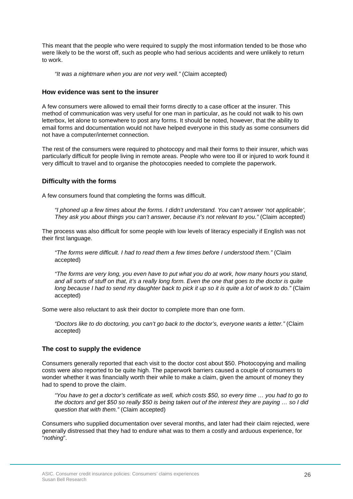This meant that the people who were required to supply the most information tended to be those who were likely to be the worst off, such as people who had serious accidents and were unlikely to return to work.

*"It was a nightmare when you are not very well."* (Claim accepted)

#### **How evidence was sent to the insurer**

A few consumers were allowed to email their forms directly to a case officer at the insurer. This method of communication was very useful for one man in particular, as he could not walk to his own letterbox, let alone to somewhere to post any forms. It should be noted, however, that the ability to email forms and documentation would not have helped everyone in this study as some consumers did not have a computer/internet connection.

The rest of the consumers were required to photocopy and mail their forms to their insurer, which was particularly difficult for people living in remote areas. People who were too ill or injured to work found it very difficult to travel and to organise the photocopies needed to complete the paperwork.

#### **Difficulty with the forms**

A few consumers found that completing the forms was difficult.

*"I phoned up a few times about the forms. I didn't understand. You can't answer 'not applicable', They ask you about things you can't answer, because it's not relevant to you."* (Claim accepted)

The process was also difficult for some people with low levels of literacy especially if English was not their first language.

*"The forms were difficult. I had to read them a few times before I understood them."* (Claim accepted)

*"The forms are very long, you even have to put what you do at work, how many hours you stand, and all sorts of stuff on that, it's a really long form. Even the one that goes to the doctor is quite long because I had to send my daughter back to pick it up so it is quite a lot of work to do."* (Claim accepted)

Some were also reluctant to ask their doctor to complete more than one form.

*"Doctors like to do doctoring, you can't go back to the doctor's, everyone wants a letter."* (Claim accepted)

#### **The cost to supply the evidence**

Consumers generally reported that each visit to the doctor cost about \$50. Photocopying and mailing costs were also reported to be quite high. The paperwork barriers caused a couple of consumers to wonder whether it was financially worth their while to make a claim, given the amount of money they had to spend to prove the claim.

*"You have to get a doctor's certificate as well, which costs \$50, so every time … you had to go to the doctors and get \$50 so really \$50 is being taken out of the interest they are paying … so I did question that with them."* (Claim accepted)

Consumers who supplied documentation over several months, and later had their claim rejected, were generally distressed that they had to endure what was to them a costly and arduous experience, for "*nothing*".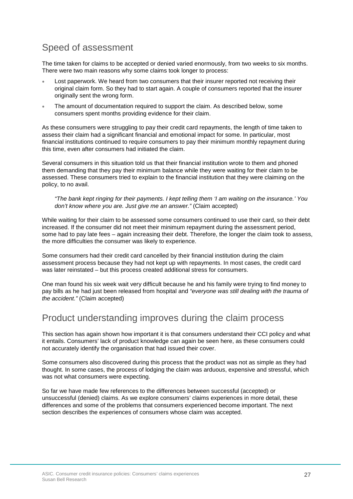### Speed of assessment

The time taken for claims to be accepted or denied varied enormously, from two weeks to six months. There were two main reasons why some claims took longer to process:

- Lost paperwork. We heard from two consumers that their insurer reported not receiving their original claim form. So they had to start again. A couple of consumers reported that the insurer originally sent the wrong form.
- The amount of documentation required to support the claim. As described below, some consumers spent months providing evidence for their claim.

As these consumers were struggling to pay their credit card repayments, the length of time taken to assess their claim had a significant financial and emotional impact for some. In particular, most financial institutions continued to require consumers to pay their minimum monthly repayment during this time, even after consumers had initiated the claim.

Several consumers in this situation told us that their financial institution wrote to them and phoned them demanding that they pay their minimum balance while they were waiting for their claim to be assessed. These consumers tried to explain to the financial institution that they were claiming on the policy, to no avail.

*"The bank kept ringing for their payments. I kept telling them 'I am waiting on the insurance.' You don't know where you are. Just give me an answer."* (Claim accepted)

While waiting for their claim to be assessed some consumers continued to use their card, so their debt increased. If the consumer did not meet their minimum repayment during the assessment period, some had to pay late fees – again increasing their debt. Therefore, the longer the claim took to assess, the more difficulties the consumer was likely to experience.

Some consumers had their credit card cancelled by their financial institution during the claim assessment process because they had not kept up with repayments. In most cases, the credit card was later reinstated – but this process created additional stress for consumers.

One man found his six week wait very difficult because he and his family were trying to find money to pay bills as he had just been released from hospital and *"everyone was still dealing with the trauma of the accident."* (Claim accepted)

### Product understanding improves during the claim process

This section has again shown how important it is that consumers understand their CCI policy and what it entails. Consumers' lack of product knowledge can again be seen here, as these consumers could not accurately identify the organisation that had issued their cover.

Some consumers also discovered during this process that the product was not as simple as they had thought. In some cases, the process of lodging the claim was arduous, expensive and stressful, which was not what consumers were expecting.

So far we have made few references to the differences between successful (accepted) or unsuccessful (denied) claims. As we explore consumers' claims experiences in more detail, these differences and some of the problems that consumers experienced become important. The next section describes the experiences of consumers whose claim was accepted.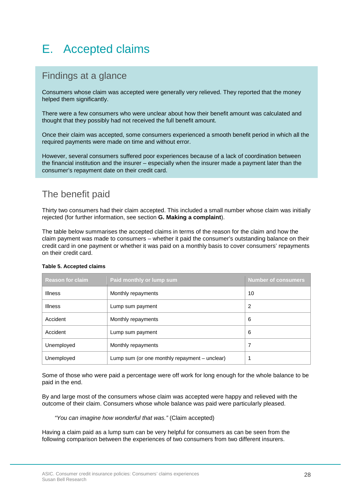# <span id="page-27-0"></span>E. Accepted claims

### Findings at a glance

Consumers whose claim was accepted were generally very relieved. They reported that the money helped them significantly.

There were a few consumers who were unclear about how their benefit amount was calculated and thought that they possibly had not received the full benefit amount.

Once their claim was accepted, some consumers experienced a smooth benefit period in which all the required payments were made on time and without error.

However, several consumers suffered poor experiences because of a lack of coordination between the financial institution and the insurer – especially when the insurer made a payment later than the consumer's repayment date on their credit card.

### The benefit paid

Thirty two consumers had their claim accepted. This included a small number whose claim was initially rejected (for further information, see section **G. Making a complaint**).

The table below summarises the accepted claims in terms of the reason for the claim and how the claim payment was made to consumers – whether it paid the consumer's outstanding balance on their credit card in one payment or whether it was paid on a monthly basis to cover consumers' repayments on their credit card.

| <b>Reason for claim</b> | Paid monthly or lump sum                      | <b>Number of consumers</b> |
|-------------------------|-----------------------------------------------|----------------------------|
| <b>Illness</b>          | Monthly repayments                            | 10                         |
| <b>Illness</b>          | Lump sum payment                              | 2                          |
| Accident                | Monthly repayments                            | 6                          |
| Accident                | Lump sum payment                              | 6                          |
| Unemployed              | Monthly repayments                            | 7                          |
| Unemployed              | Lump sum (or one monthly repayment – unclear) | 1                          |

#### **Table 5. Accepted claims**

Some of those who were paid a percentage were off work for long enough for the whole balance to be paid in the end.

By and large most of the consumers whose claim was accepted were happy and relieved with the outcome of their claim. Consumers whose whole balance was paid were particularly pleased.

*"You can imagine how wonderful that was."* (Claim accepted)

Having a claim paid as a lump sum can be very helpful for consumers as can be seen from the following comparison between the experiences of two consumers from two different insurers.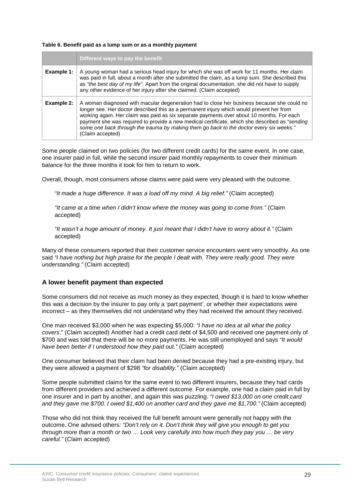#### **Table 6. Benefit paid as a lump sum or as a monthly payment**

|            | Different ways to pay the benefit                                                                                                                                                                                                                                                                                                                                                                                                                                                                     |  |
|------------|-------------------------------------------------------------------------------------------------------------------------------------------------------------------------------------------------------------------------------------------------------------------------------------------------------------------------------------------------------------------------------------------------------------------------------------------------------------------------------------------------------|--|
| Example 1: | A young woman had a serious head injury for which she was off work for 11 months. Her claim<br>was paid in full, about a month after she submitted the claim, as a lump sum. She described this<br>as "the best day of my life". Apart from the original documentation, she did not have to supply<br>any other evidence of her injury after she claimed. (Claim accepted)                                                                                                                            |  |
| Example 2: | A woman diagnosed with macular degeneration had to close her business because she could no<br>longer see. Her doctor described this as a permanent injury which would prevent her from<br>working again. Her claim was paid as six separate payments over about 10 months. For each<br>payment she was required to provide a new medical certificate, which she described as "sending"<br>some one back through the trauma by making them go back to the doctor every six weeks."<br>(Claim accepted) |  |

Some people claimed on two policies (for two different credit cards) for the same event. In one case, one insurer paid in full, while the second insurer paid monthly repayments to cover their minimum balance for the three months it took for him to return to work.

Overall, though, most consumers whose claims were paid were very pleased with the outcome.

*"It made a huge difference. It was a load off my mind. A big relief."* (Claim accepted)

*"It came at a time when I didn't know where the money was going to come from."* (Claim accepted)

*"It wasn't a huge amount of money. It just meant that I didn't have to worry about it."* (Claim accepted)

Many of these consumers reported that their customer service encounters went very smoothly. As one said *"I have nothing but high praise for the people I dealt with. They were really good. They were understanding."* (Claim accepted)

#### **A lower benefit payment than expected**

Some consumers did not receive as much money as they expected, though it is hard to know whether this was a decision by the insurer to pay only a 'part payment', or whether their expectations were incorrect – as they themselves did not understand why they had received the amount they received.

One man received \$3,000 when he was expecting \$5,000: *"I have no idea at all what the policy covers*." (Claim accepted) Another had a credit card debt of \$4,500 and received one payment only of \$700 and was told that there will be no more payments. He was still unemployed and says *"It would have been better if I understood how they paid out."* (Claim accepted)

One consumer believed that their claim had been denied because they had a pre-existing injury, but they were allowed a payment of \$298 *"for disability."* (Claim accepted)

Some people submitted claims for the same event to two different insurers, because they had cards from different providers and achieved a different outcome. For example, one had a claim paid in full by one insurer and in part by another, and again this was puzzling. *"I owed \$13,000 on one credit card and they gave me \$700. I owed \$1,400 on another card and they gave me \$1,700."* (Claim accepted)

Those who did not think they received the full benefit amount were generally not happy with the outcome. One advised others*: "Don't rely on it. Don't think they will give you enough to get you through more than a month or two … Look very carefully into how much they pay you … be very careful."* (Claim accepted)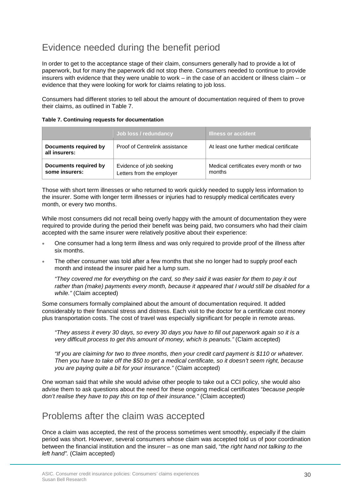### Evidence needed during the benefit period

In order to get to the acceptance stage of their claim, consumers generally had to provide a lot of paperwork, but for many the paperwork did not stop there. Consumers needed to continue to provide insurers with evidence that they were unable to work – in the case of an accident or illness claim – or evidence that they were looking for work for claims relating to job loss.

Consumers had different stories to tell about the amount of documentation required of them to prove their claims, as outlined in Table 7.

|                                         | Job loss / redundancy                                | <b>Illness or accident</b>                        |
|-----------------------------------------|------------------------------------------------------|---------------------------------------------------|
| Documents required by<br>all insurers:  | Proof of Centrelink assistance                       | At least one further medical certificate          |
| Documents required by<br>some insurers: | Evidence of job seeking<br>Letters from the employer | Medical certificates every month or two<br>months |

#### **Table 7. Continuing requests for documentation**

Those with short term illnesses or who returned to work quickly needed to supply less information to the insurer. Some with longer term illnesses or injuries had to resupply medical certificates every month, or every two months.

While most consumers did not recall being overly happy with the amount of documentation they were required to provide during the period their benefit was being paid, two consumers who had their claim accepted with the same insurer were relatively positive about their experience:

- One consumer had a long term illness and was only required to provide proof of the illness after six months.
- The other consumer was told after a few months that she no longer had to supply proof each month and instead the insurer paid her a lump sum.

*"They covered me for everything on the card, so they said it was easier for them to pay it out rather than (make) payments every month, because it appeared that I would still be disabled for a while."* (Claim accepted)

Some consumers formally complained about the amount of documentation required. It added considerably to their financial stress and distress. Each visit to the doctor for a certificate cost money plus transportation costs. The cost of travel was especially significant for people in remote areas.

*"They assess it every 30 days, so every 30 days you have to fill out paperwork again so it is a very difficult process to get this amount of money, which is peanuts."* (Claim accepted)

*"If you are claiming for two to three months, then your credit card payment is \$110 or whatever. Then you have to take off the \$50 to get a medical certificate, so it doesn't seem right, because you are paying quite a bit for your insurance."* (Claim accepted)

One woman said that while she would advise other people to take out a CCI policy, she would also advise them to ask questions about the need for these ongoing medical certificates "*because people don't realise they have to pay this on top of their insurance."* (Claim accepted)

### Problems after the claim was accepted

Once a claim was accepted, the rest of the process sometimes went smoothly, especially if the claim period was short. However, several consumers whose claim was accepted told us of poor coordination between the financial institution and the insurer – as one man said, "*the right hand not talking to the left hand".* (Claim accepted)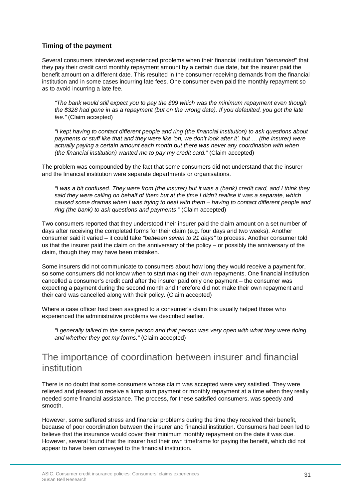#### **Timing of the payment**

Several consumers interviewed experienced problems when their financial institution "*demanded*" that they pay their credit card monthly repayment amount by a certain due date, but the insurer paid the benefit amount on a different date. This resulted in the consumer receiving demands from the financial institution and in some cases incurring late fees. One consumer even paid the monthly repayment so as to avoid incurring a late fee.

*"The bank would still expect you to pay the \$99 which was the minimum repayment even though the \$328 had gone in as a repayment (but on the wrong date). If you defaulted, you got the late fee."* (Claim accepted)

*"I kept having to contact different people and ring (the financial institution) to ask questions about payments or stuff like that and they were like 'oh, we don't look after it', but … (the insurer) were actually paying a certain amount each month but there was never any coordination with when (the financial institution) wanted me to pay my credit card."* (Claim accepted)

The problem was compounded by the fact that some consumers did not understand that the insurer and the financial institution were separate departments or organisations.

*"I was a bit confused. They were from (the insurer) but it was a (bank) credit card, and I think they said they were calling on behalf of them but at the time I didn't realise it was a separate, which caused some dramas when I was trying to deal with them – having to contact different people and ring (the bank) to ask questions and payments*." (Claim accepted)

Two consumers reported that they understood their insurer paid the claim amount on a set number of days after receiving the completed forms for their claim (e.g. four days and two weeks). Another consumer said it varied – it could take *"between seven to 21 days"* to process. Another consumer told us that the insurer paid the claim on the anniversary of the policy – or possibly the anniversary of the claim, though they may have been mistaken.

Some insurers did not communicate to consumers about how long they would receive a payment for, so some consumers did not know when to start making their own repayments. One financial institution cancelled a consumer's credit card after the insurer paid only one payment – the consumer was expecting a payment during the second month and therefore did not make their own repayment and their card was cancelled along with their policy. (Claim accepted)

Where a case officer had been assigned to a consumer's claim this usually helped those who experienced the administrative problems we described earlier.

*"I generally talked to the same person and that person was very open with what they were doing and whether they got my forms."* (Claim accepted)

### The importance of coordination between insurer and financial institution

There is no doubt that some consumers whose claim was accepted were very satisfied. They were relieved and pleased to receive a lump sum payment or monthly repayment at a time when they really needed some financial assistance. The process, for these satisfied consumers, was speedy and smooth.

However, some suffered stress and financial problems during the time they received their benefit, because of poor coordination between the insurer and financial institution. Consumers had been led to believe that the insurance would cover their minimum monthly repayment on the date it was due. However, several found that the insurer had their own timeframe for paying the benefit, which did not appear to have been conveyed to the financial institution.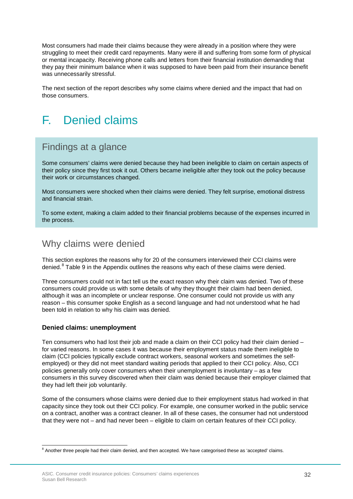Most consumers had made their claims because they were already in a position where they were struggling to meet their credit card repayments. Many were ill and suffering from some form of physical or mental incapacity. Receiving phone calls and letters from their financial institution demanding that they pay their minimum balance when it was supposed to have been paid from their insurance benefit was unnecessarily stressful.

The next section of the report describes why some claims where denied and the impact that had on those consumers.

## <span id="page-31-0"></span>F. Denied claims

### Findings at a glance

Some consumers' claims were denied because they had been ineligible to claim on certain aspects of their policy since they first took it out. Others became ineligible after they took out the policy because their work or circumstances changed.

Most consumers were shocked when their claims were denied. They felt surprise, emotional distress and financial strain.

To some extent, making a claim added to their financial problems because of the expenses incurred in the process.

### Why claims were denied

This section explores the reasons why for 20 of the consumers interviewed their CCI claims were denied.<sup>[8](#page-31-1)</sup> Table 9 in the Appendix outlines the reasons why each of these claims were denied.

Three consumers could not in fact tell us the exact reason why their claim was denied. Two of these consumers could provide us with some details of why they thought their claim had been denied, although it was an incomplete or unclear response. One consumer could not provide us with any reason – this consumer spoke English as a second language and had not understood what he had been told in relation to why his claim was denied.

#### **Denied claims: unemployment**

Ten consumers who had lost their job and made a claim on their CCI policy had their claim denied – for varied reasons. In some cases it was because their employment status made them ineligible to claim (CCI policies typically exclude contract workers, seasonal workers and sometimes the selfemployed) or they did not meet standard waiting periods that applied to their CCI policy. Also, CCI policies generally only cover consumers when their unemployment is involuntary – as a few consumers in this survey discovered when their claim was denied because their employer claimed that they had left their job voluntarily.

Some of the consumers whose claims were denied due to their employment status had worked in that capacity since they took out their CCI policy. For example, one consumer worked in the public service on a contract, another was a contract cleaner. In all of these cases, the consumer had not understood that they were not – and had never been – eligible to claim on certain features of their CCI policy.

<span id="page-31-1"></span> $8$  Another three people had their claim denied, and then accepted. We have categorised these as 'accepted' claims. Ê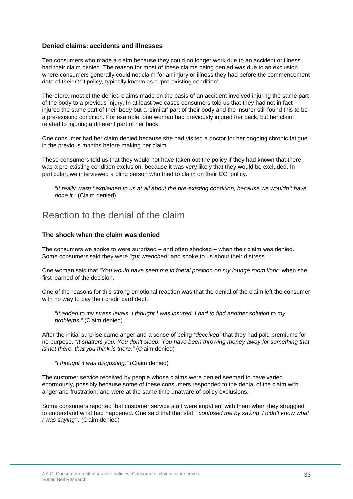#### **Denied claims: accidents and illnesses**

Ten consumers who made a claim because they could no longer work due to an accident or illness had their claim denied. The reason for most of these claims being denied was due to an exclusion where consumers generally could not claim for an injury or illness they had before the commencement date of their CCI policy, typically known as a 'pre-existing condition'.

Therefore, most of the denied claims made on the basis of an accident involved injuring the same part of the body to a previous injury. In at least two cases consumers told us that they had not in fact injured the same part of their body but a 'similar' part of their body and the insurer still found this to be a pre-existing condition. For example, one woman had previously injured her back, but her claim related to injuring a different part of her back.

One consumer had her claim denied because she had visited a doctor for her ongoing chronic fatigue in the previous months before making her claim.

These consumers told us that they would not have taken out the policy if they had known that there was a pre-existing condition exclusion, because it was very likely that they would be excluded. In particular, we interviewed a blind person who tried to claim on their CCI policy.

*"It really wasn't explained to us at all about the pre-existing condition, because we wouldn't have done it."* (Claim denied)

### Reaction to the denial of the claim

#### **The shock when the claim was denied**

The consumers we spoke to were surprised – and often shocked – when their claim was denied. Some consumers said they were *"gut wrenched"* and spoke to us about their distress.

One woman said that *"You would have seen me in foetal position on my lounge room floor"* when she first learned of the decision.

One of the reasons for this strong emotional reaction was that the denial of the claim left the consumer with no way to pay their credit card debt.

*"It added to my stress levels. I thought I was insured. I had to find another solution to my problems."* (Claim denied)

After the initial surprise came anger and a sense of being *"deceived"* that they had paid premiums for no purpose. *"It shatters you. You don't sleep. You have been throwing money away for something that is not there, that you think is there."* (Claim denied)

*"I thought it was disgusting."* (Claim denied)

The customer service received by people whose claims were denied seemed to have varied enormously, possibly because some of these consumers responded to the denial of the claim with anger and frustration, and were at the same time unaware of policy exclusions.

Some consumers reported that customer service staff were impatient with them when they struggled to understand what had happened. One said that that staff "*confused me by saying 'I didn't know what I was saying'".* (Claim denied)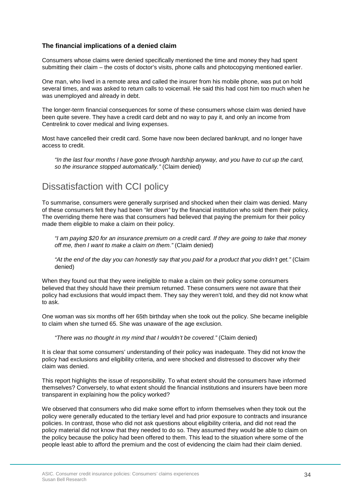#### **The financial implications of a denied claim**

Consumers whose claims were denied specifically mentioned the time and money they had spent submitting their claim – the costs of doctor's visits, phone calls and photocopying mentioned earlier.

One man, who lived in a remote area and called the insurer from his mobile phone, was put on hold several times, and was asked to return calls to voicemail. He said this had cost him too much when he was unemployed and already in debt.

The longer-term financial consequences for some of these consumers whose claim was denied have been quite severe. They have a credit card debt and no way to pay it, and only an income from Centrelink to cover medical and living expenses.

Most have cancelled their credit card. Some have now been declared bankrupt, and no longer have access to credit.

*"In the last four months I have gone through hardship anyway, and you have to cut up the card, so the insurance stopped automatically."* (Claim denied)

### Dissatisfaction with CCI policy

To summarise, consumers were generally surprised and shocked when their claim was denied. Many of these consumers felt they had been *"let down"* by the financial institution who sold them their policy. The overriding theme here was that consumers had believed that paying the premium for their policy made them eligible to make a claim on their policy.

*"I am paying \$20 for an insurance premium on a credit card. If they are going to take that money off me, then I want to make a claim on them."* (Claim denied)

*"At the end of the day you can honestly say that you paid for a product that you didn't get."* (Claim denied)

When they found out that they were ineligible to make a claim on their policy some consumers believed that they should have their premium returned. These consumers were not aware that their policy had exclusions that would impact them. They say they weren't told, and they did not know what to ask.

One woman was six months off her 65th birthday when she took out the policy. She became ineligible to claim when she turned 65. She was unaware of the age exclusion.

*"There was no thought in my mind that I wouldn't be covered."* (Claim denied)

It is clear that some consumers' understanding of their policy was inadequate. They did not know the policy had exclusions and eligibility criteria, and were shocked and distressed to discover why their claim was denied.

This report highlights the issue of responsibility. To what extent should the consumers have informed themselves? Conversely, to what extent should the financial institutions and insurers have been more transparent in explaining how the policy worked?

We observed that consumers who did make some effort to inform themselves when they took out the policy were generally educated to the tertiary level and had prior exposure to contracts and insurance policies. In contrast, those who did not ask questions about eligibility criteria, and did not read the policy material did not know that they needed to do so. They assumed they would be able to claim on the policy because the policy had been offered to them. This lead to the situation where some of the people least able to afford the premium and the cost of evidencing the claim had their claim denied.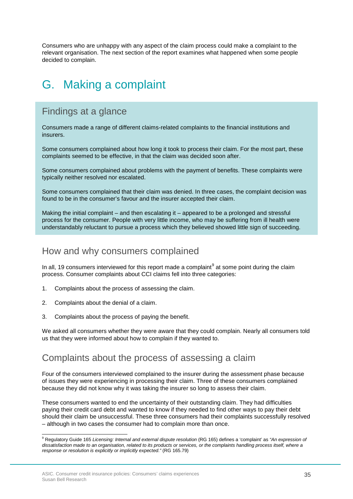Consumers who are unhappy with any aspect of the claim process could make a complaint to the relevant organisation. The next section of the report examines what happened when some people decided to complain.

## <span id="page-34-0"></span>G. Making a complaint

### Findings at a glance

Consumers made a range of different claims-related complaints to the financial institutions and insurers.

Some consumers complained about how long it took to process their claim. For the most part, these complaints seemed to be effective, in that the claim was decided soon after.

Some consumers complained about problems with the payment of benefits. These complaints were typically neither resolved nor escalated.

Some consumers complained that their claim was denied. In three cases, the complaint decision was found to be in the consumer's favour and the insurer accepted their claim.

Making the initial complaint – and then escalating it – appeared to be a prolonged and stressful process for the consumer. People with very little income, who may be suffering from ill health were understandably reluctant to pursue a process which they believed showed little sign of succeeding.

### How and why consumers complained

In all, 1[9](#page-34-1) consumers interviewed for this report made a complaint<sup>9</sup> at some point during the claim process. Consumer complaints about CCI claims fell into three categories:

- 1. Complaints about the process of assessing the claim.
- 2. Complaints about the denial of a claim.
- 3. Complaints about the process of paying the benefit.

We asked all consumers whether they were aware that they could complain. Nearly all consumers told us that they were informed about how to complain if they wanted to.

#### Complaints about the process of assessing a claim

Four of the consumers interviewed complained to the insurer during the assessment phase because of issues they were experiencing in processing their claim. Three of these consumers complained because they did not know why it was taking the insurer so long to assess their claim.

These consumers wanted to end the uncertainty of their outstanding claim. They had difficulties paying their credit card debt and wanted to know if they needed to find other ways to pay their debt should their claim be unsuccessful. These three consumers had their complaints successfully resolved – although in two cases the consumer had to complain more than once.

<span id="page-34-1"></span><sup>9</sup> Regulatory Guide 165 *Licensing: Internal and external dispute resolution* (RG 165) defines a 'complaint' as *"An expression of dissatisfaction made to an organisation, related to its products or services, or the complaints handling process itself, where a response or resolution is explicitly or implicitly expected*.*"* (RG 165.79) Ê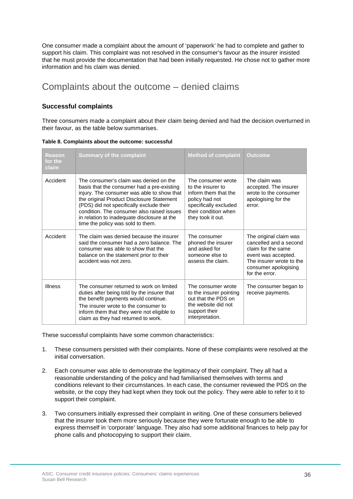One consumer made a complaint about the amount of 'paperwork' he had to complete and gather to support his claim. This complaint was not resolved in the consumer's favour as the insurer insisted that he must provide the documentation that had been initially requested. He chose not to gather more information and his claim was denied.

### Complaints about the outcome – denied claims

#### **Successful complaints**

Three consumers made a complaint about their claim being denied and had the decision overturned in their favour, as the table below summarises.

|  | Table 8. Complaints about the outcome: successful |  |  |  |
|--|---------------------------------------------------|--|--|--|
|--|---------------------------------------------------|--|--|--|

| Reason<br>for the<br>claim | <b>Summary of the complaint</b>                                                                                                                                                                                                                                                                                                                               | <b>Method of complaint</b>                                                                                                                              | Outcome                                                                                                                                                             |
|----------------------------|---------------------------------------------------------------------------------------------------------------------------------------------------------------------------------------------------------------------------------------------------------------------------------------------------------------------------------------------------------------|---------------------------------------------------------------------------------------------------------------------------------------------------------|---------------------------------------------------------------------------------------------------------------------------------------------------------------------|
| Accident                   | The consumer's claim was denied on the<br>basis that the consumer had a pre-existing<br>injury. The consumer was able to show that<br>the original Product Disclosure Statement<br>(PDS) did not specifically exclude their<br>condition. The consumer also raised issues<br>in relation to inadequate disclosure at the<br>time the policy was sold to them. | The consumer wrote<br>to the insurer to<br>inform them that the<br>policy had not<br>specifically excluded<br>their condition when<br>they took it out. | The claim was<br>accepted. The insurer<br>wrote to the consumer<br>apologising for the<br>error.                                                                    |
| Accident                   | The claim was denied because the insurer<br>said the consumer had a zero balance. The<br>consumer was able to show that the<br>balance on the statement prior to their<br>accident was not zero.                                                                                                                                                              | The consumer<br>phoned the insurer<br>and asked for<br>someone else to<br>assess the claim.                                                             | The original claim was<br>cancelled and a second<br>claim for the same<br>event was accepted.<br>The insurer wrote to the<br>consumer apologising<br>for the error. |
| <b>Illness</b>             | The consumer returned to work on limited<br>duties after being told by the insurer that<br>the benefit payments would continue.<br>The insurer wrote to the consumer to<br>inform them that they were not eligible to<br>claim as they had returned to work.                                                                                                  | The consumer wrote<br>to the insurer pointing<br>out that the PDS on<br>the website did not<br>support their<br>interpretation.                         | The consumer began to<br>receive payments.                                                                                                                          |

These successful complaints have some common characteristics:

- 1. These consumers persisted with their complaints. None of these complaints were resolved at the initial conversation.
- 2. Each consumer was able to demonstrate the legitimacy of their complaint. They all had a reasonable understanding of the policy and had familiarised themselves with terms and conditions relevant to their circumstances. In each case, the consumer reviewed the PDS on the website, or the copy they had kept when they took out the policy. They were able to refer to it to support their complaint.
- 3. Two consumers initially expressed their complaint in writing. One of these consumers believed that the insurer took them more seriously because they were fortunate enough to be able to express themself in 'corporate' language. They also had some additional finances to help pay for phone calls and photocopying to support their claim.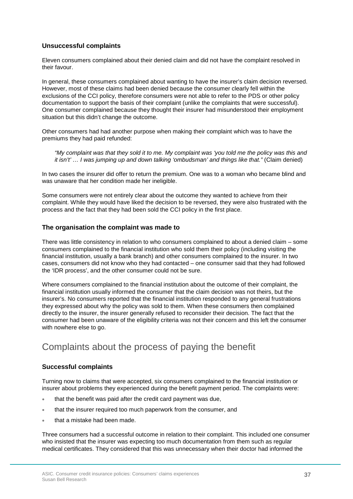#### **Unsuccessful complaints**

Eleven consumers complained about their denied claim and did not have the complaint resolved in their favour.

In general, these consumers complained about wanting to have the insurer's claim decision reversed. However, most of these claims had been denied because the consumer clearly fell within the exclusions of the CCI policy, therefore consumers were not able to refer to the PDS or other policy documentation to support the basis of their complaint (unlike the complaints that were successful). One consumer complained because they thought their insurer had misunderstood their employment situation but this didn't change the outcome.

Other consumers had had another purpose when making their complaint which was to have the premiums they had paid refunded:

*"My complaint was that they sold it to me. My complaint was 'you told me the policy was this and it isn't' … I was jumping up and down talking 'ombudsman' and things like that."* (Claim denied)

In two cases the insurer did offer to return the premium. One was to a woman who became blind and was unaware that her condition made her ineligible.

Some consumers were not entirely clear about the outcome they wanted to achieve from their complaint. While they would have liked the decision to be reversed, they were also frustrated with the process and the fact that they had been sold the CCI policy in the first place.

#### **The organisation the complaint was made to**

There was little consistency in relation to who consumers complained to about a denied claim – some consumers complained to the financial institution who sold them their policy (including visiting the financial institution, usually a bank branch) and other consumers complained to the insurer. In two cases, consumers did not know who they had contacted – one consumer said that they had followed the 'IDR process', and the other consumer could not be sure.

Where consumers complained to the financial institution about the outcome of their complaint, the financial institution usually informed the consumer that the claim decision was not theirs, but the insurer's. No consumers reported that the financial institution responded to any general frustrations they expressed about why the policy was sold to them. When these consumers then complained directly to the insurer, the insurer generally refused to reconsider their decision. The fact that the consumer had been unaware of the eligibility criteria was not their concern and this left the consumer with nowhere else to go.

### Complaints about the process of paying the benefit

#### **Successful complaints**

Turning now to claims that were accepted, six consumers complained to the financial institution or insurer about problems they experienced during the benefit payment period. The complaints were:

- that the benefit was paid after the credit card payment was due,
- that the insurer required too much paperwork from the consumer, and
- that a mistake had been made.

Three consumers had a successful outcome in relation to their complaint. This included one consumer who insisted that the insurer was expecting too much documentation from them such as regular medical certificates. They considered that this was unnecessary when their doctor had informed the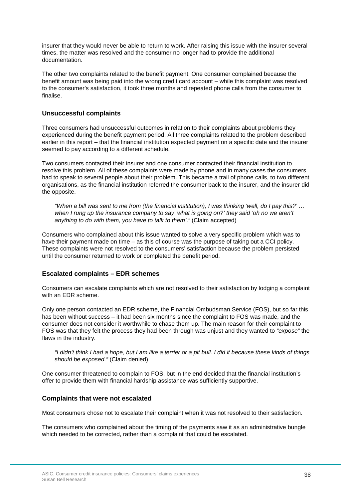insurer that they would never be able to return to work. After raising this issue with the insurer several times, the matter was resolved and the consumer no longer had to provide the additional documentation.

The other two complaints related to the benefit payment. One consumer complained because the benefit amount was being paid into the wrong credit card account – while this complaint was resolved to the consumer's satisfaction, it took three months and repeated phone calls from the consumer to finalise.

#### **Unsuccessful complaints**

Three consumers had unsuccessful outcomes in relation to their complaints about problems they experienced during the benefit payment period. All three complaints related to the problem described earlier in this report – that the financial institution expected payment on a specific date and the insurer seemed to pay according to a different schedule.

Two consumers contacted their insurer and one consumer contacted their financial institution to resolve this problem. All of these complaints were made by phone and in many cases the consumers had to speak to several people about their problem. This became a trail of phone calls, to two different organisations, as the financial institution referred the consumer back to the insurer, and the insurer did the opposite.

*"When a bill was sent to me from (the financial institution), I was thinking 'well, do I pay this?' … when I rung up the insurance company to say 'what is going on?' they said 'oh no we aren't anything to do with them, you have to talk to them'*.*"* (Claim accepted)

Consumers who complained about this issue wanted to solve a very specific problem which was to have their payment made on time – as this of course was the purpose of taking out a CCI policy. These complaints were not resolved to the consumers' satisfaction because the problem persisted until the consumer returned to work or completed the benefit period.

#### **Escalated complaints – EDR schemes**

Consumers can escalate complaints which are not resolved to their satisfaction by lodging a complaint with an EDR scheme.

Only one person contacted an EDR scheme, the Financial Ombudsman Service (FOS), but so far this has been without success – it had been six months since the complaint to FOS was made, and the consumer does not consider it worthwhile to chase them up. The main reason for their complaint to FOS was that they felt the process they had been through was unjust and they wanted to *"expose"* the flaws in the industry.

*"I didn't think I had a hope, but I am like a terrier or a pit bull. I did it because these kinds of things should be exposed."* (Claim denied)

One consumer threatened to complain to FOS, but in the end decided that the financial institution's offer to provide them with financial hardship assistance was sufficiently supportive.

#### **Complaints that were not escalated**

Most consumers chose not to escalate their complaint when it was not resolved to their satisfaction.

The consumers who complained about the timing of the payments saw it as an administrative bungle which needed to be corrected, rather than a complaint that could be escalated.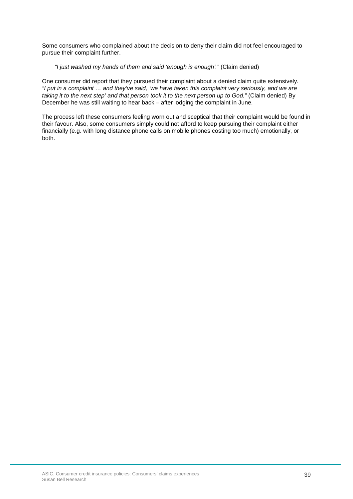Some consumers who complained about the decision to deny their claim did not feel encouraged to pursue their complaint further.

#### *"I just washed my hands of them and said 'enough is enough'."* (Claim denied)

One consumer did report that they pursued their complaint about a denied claim quite extensively. *"I put in a complaint … and they've said, 'we have taken this complaint very seriously, and we are taking it to the next step' and that person took it to the next person up to God."* (Claim denied) By December he was still waiting to hear back – after lodging the complaint in June.

The process left these consumers feeling worn out and sceptical that their complaint would be found in their favour. Also, some consumers simply could not afford to keep pursuing their complaint either financially (e.g. with long distance phone calls on mobile phones costing too much) emotionally, or both.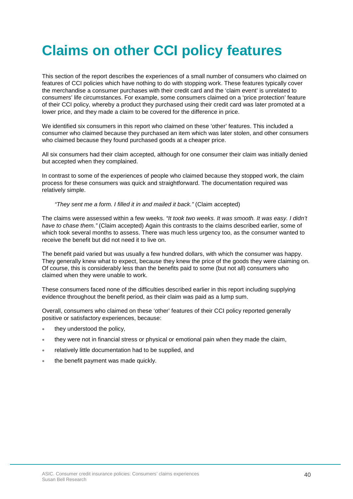# <span id="page-39-0"></span>**Claims on other CCI policy features**

This section of the report describes the experiences of a small number of consumers who claimed on features of CCI policies which have nothing to do with stopping work. These features typically cover the merchandise a consumer purchases with their credit card and the 'claim event' is unrelated to consumers' life circumstances. For example, some consumers claimed on a 'price protection' feature of their CCI policy, whereby a product they purchased using their credit card was later promoted at a lower price, and they made a claim to be covered for the difference in price.

We identified six consumers in this report who claimed on these 'other' features. This included a consumer who claimed because they purchased an item which was later stolen, and other consumers who claimed because they found purchased goods at a cheaper price.

All six consumers had their claim accepted, although for one consumer their claim was initially denied but accepted when they complained.

In contrast to some of the experiences of people who claimed because they stopped work, the claim process for these consumers was quick and straightforward. The documentation required was relatively simple.

*"They sent me a form. I filled it in and mailed it back."* (Claim accepted)

The claims were assessed within a few weeks. *"It took two weeks. It was smooth. It was easy. I didn't have to chase them."* (Claim accepted) Again this contrasts to the claims described earlier, some of which took several months to assess. There was much less urgency too, as the consumer wanted to receive the benefit but did not need it to live on.

The benefit paid varied but was usually a few hundred dollars, with which the consumer was happy. They generally knew what to expect, because they knew the price of the goods they were claiming on. Of course, this is considerably less than the benefits paid to some (but not all) consumers who claimed when they were unable to work.

These consumers faced none of the difficulties described earlier in this report including supplying evidence throughout the benefit period, as their claim was paid as a lump sum.

Overall, consumers who claimed on these 'other' features of their CCI policy reported generally positive or satisfactory experiences, because:

- they understood the policy,
- they were not in financial stress or physical or emotional pain when they made the claim,
- relatively little documentation had to be supplied, and
- the benefit payment was made quickly.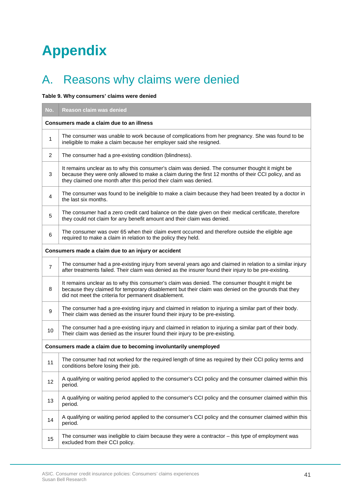# <span id="page-40-0"></span>**Appendix**

# <span id="page-40-1"></span>A. Reasons why claims were denied

#### **Table 9. Why consumers' claims were denied**

| No.                                                             | Reason claim was denied                                                                                                                                                                                                                                                      |  |  |  |
|-----------------------------------------------------------------|------------------------------------------------------------------------------------------------------------------------------------------------------------------------------------------------------------------------------------------------------------------------------|--|--|--|
| Consumers made a claim due to an illness                        |                                                                                                                                                                                                                                                                              |  |  |  |
| $\mathbf{1}$                                                    | The consumer was unable to work because of complications from her pregnancy. She was found to be<br>ineligible to make a claim because her employer said she resigned.                                                                                                       |  |  |  |
| 2                                                               | The consumer had a pre-existing condition (blindness).                                                                                                                                                                                                                       |  |  |  |
| 3                                                               | It remains unclear as to why this consumer's claim was denied. The consumer thought it might be<br>because they were only allowed to make a claim during the first 12 months of their CCI policy, and as<br>they claimed one month after this period their claim was denied. |  |  |  |
| $\overline{4}$                                                  | The consumer was found to be ineligible to make a claim because they had been treated by a doctor in<br>the last six months.                                                                                                                                                 |  |  |  |
| 5                                                               | The consumer had a zero credit card balance on the date given on their medical certificate, therefore<br>they could not claim for any benefit amount and their claim was denied.                                                                                             |  |  |  |
| 6                                                               | The consumer was over 65 when their claim event occurred and therefore outside the eligible age<br>required to make a claim in relation to the policy they held.                                                                                                             |  |  |  |
|                                                                 | Consumers made a claim due to an injury or accident                                                                                                                                                                                                                          |  |  |  |
| $\overline{7}$                                                  | The consumer had a pre-existing injury from several years ago and claimed in relation to a similar injury<br>after treatments failed. Their claim was denied as the insurer found their injury to be pre-existing.                                                           |  |  |  |
| 8                                                               | It remains unclear as to why this consumer's claim was denied. The consumer thought it might be<br>because they claimed for temporary disablement but their claim was denied on the grounds that they<br>did not meet the criteria for permanent disablement.                |  |  |  |
| 9                                                               | The consumer had a pre-existing injury and claimed in relation to injuring a similar part of their body.<br>Their claim was denied as the insurer found their injury to be pre-existing.                                                                                     |  |  |  |
| 10                                                              | The consumer had a pre-existing injury and claimed in relation to injuring a similar part of their body.<br>Their claim was denied as the insurer found their injury to be pre-existing.                                                                                     |  |  |  |
| Consumers made a claim due to becoming involuntarily unemployed |                                                                                                                                                                                                                                                                              |  |  |  |
| 11                                                              | The consumer had not worked for the required length of time as required by their CCI policy terms and<br>conditions before losing their job.                                                                                                                                 |  |  |  |
| 12                                                              | A qualifying or waiting period applied to the consumer's CCI policy and the consumer claimed within this<br>period.                                                                                                                                                          |  |  |  |
| 13                                                              | A qualifying or waiting period applied to the consumer's CCI policy and the consumer claimed within this<br>period.                                                                                                                                                          |  |  |  |
| 14                                                              | A qualifying or waiting period applied to the consumer's CCI policy and the consumer claimed within this<br>period.                                                                                                                                                          |  |  |  |
| 15                                                              | The consumer was ineligible to claim because they were a contractor - this type of employment was<br>excluded from their CCI policy.                                                                                                                                         |  |  |  |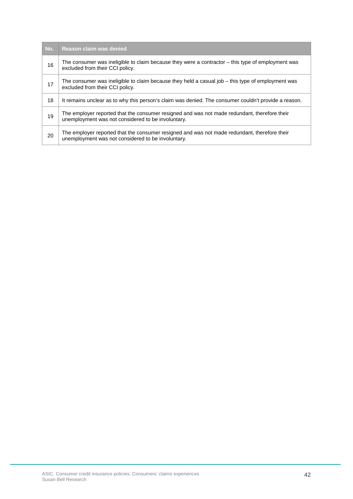| No. | Reason claim was denied                                                                                                                            |
|-----|----------------------------------------------------------------------------------------------------------------------------------------------------|
| 16  | The consumer was ineligible to claim because they were a contractor - this type of employment was<br>excluded from their CCI policy.               |
| 17  | The consumer was ineligible to claim because they held a casual job $-$ this type of employment was<br>excluded from their CCI policy.             |
| 18  | It remains unclear as to why this person's claim was denied. The consumer couldn't provide a reason.                                               |
| 19  | The employer reported that the consumer resigned and was not made redundant, therefore their<br>unemployment was not considered to be involuntary. |
| 20  | The employer reported that the consumer resigned and was not made redundant, therefore their<br>unemployment was not considered to be involuntary. |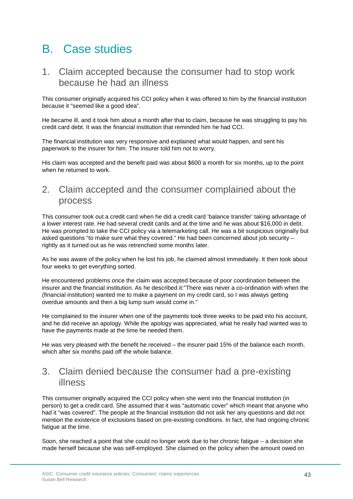## <span id="page-42-0"></span>B. Case studies

### 1. Claim accepted because the consumer had to stop work because he had an illness

This consumer originally acquired his CCI policy when it was offered to him by the financial institution because it "seemed like a good idea".

He became ill, and it took him about a month after that to claim, because he was struggling to pay his credit card debt. It was the financial institution that reminded him he had CCI.

The financial institution was very responsive and explained what would happen, and sent his paperwork to the insurer for him. The insurer told him not to worry.

His claim was accepted and the benefit paid was about \$600 a month for six months, up to the point when he returned to work.

### 2. Claim accepted and the consumer complained about the process

This consumer took out a credit card when he did a credit card 'balance transfer' taking advantage of a lower interest rate. He had several credit cards and at the time and he was about \$16,000 in debt. He was prompted to take the CCI policy via a telemarketing call. He was a bit suspicious originally but asked questions "to make sure what they covered." He had been concerned about job security – rightly as it turned out as he was retrenched some months later.

As he was aware of the policy when he lost his job, he claimed almost immediately. It then took about four weeks to get everything sorted.

He encountered problems once the claim was accepted because of poor coordination between the insurer and the financial institution. As he described it:"There was never a co-ordination with when the (financial institution) wanted me to make a payment on my credit card, so I was always getting overdue amounts and then a big lump sum would come in."

He complained to the insurer when one of the payments took three weeks to be paid into his account, and he did receive an apology. While the apology was appreciated, what he really had wanted was to have the payments made at the time he needed them.

He was very pleased with the benefit he received – the insurer paid 15% of the balance each month, which after six months paid off the whole balance.

### 3. Claim denied because the consumer had a pre-existing illness

This consumer originally acquired the CCI policy when she went into the financial institution (in person) to get a credit card. She assumed that it was "automatic cover" which meant that anyone who had it "was covered". The people at the financial institution did not ask her any questions and did not mention the existence of exclusions based on pre-existing conditions. In fact, she had ongoing chronic fatigue at the time.

Soon, she reached a point that she could no longer work due to her chronic fatigue – a decision she made herself because she was self-employed. She claimed on the policy when the amount owed on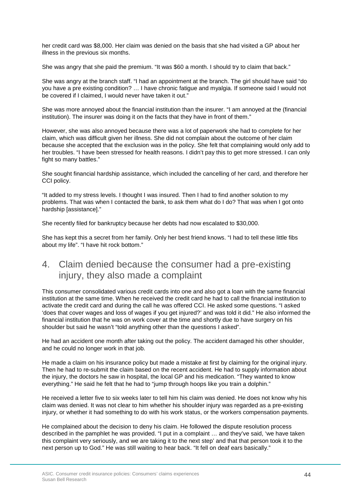her credit card was \$8,000. Her claim was denied on the basis that she had visited a GP about her illness in the previous six months.

She was angry that she paid the premium. "It was \$60 a month. I should try to claim that back."

She was angry at the branch staff. "I had an appointment at the branch. The girl should have said "do you have a pre existing condition? … I have chronic fatigue and myalgia. If someone said I would not be covered if I claimed, I would never have taken it out."

She was more annoyed about the financial institution than the insurer. "I am annoyed at the (financial institution). The insurer was doing it on the facts that they have in front of them."

However, she was also annoyed because there was a lot of paperwork she had to complete for her claim, which was difficult given her illness. She did not complain about the outcome of her claim because she accepted that the exclusion was in the policy. She felt that complaining would only add to her troubles. "I have been stressed for health reasons. I didn't pay this to get more stressed. I can only fight so many battles."

She sought financial hardship assistance, which included the cancelling of her card, and therefore her CCI policy.

"It added to my stress levels. I thought I was insured. Then I had to find another solution to my problems. That was when I contacted the bank, to ask them what do I do? That was when I got onto hardship [assistance]."

She recently filed for bankruptcy because her debts had now escalated to \$30,000.

She has kept this a secret from her family. Only her best friend knows. "I had to tell these little fibs about my life". "I have hit rock bottom."

### 4. Claim denied because the consumer had a pre-existing injury, they also made a complaint

This consumer consolidated various credit cards into one and also got a loan with the same financial institution at the same time. When he received the credit card he had to call the financial institution to activate the credit card and during the call he was offered CCI. He asked some questions. "I asked 'does that cover wages and loss of wages if you get injured?' and was told it did." He also informed the financial institution that he was on work cover at the time and shortly due to have surgery on his shoulder but said he wasn't "told anything other than the questions I asked".

He had an accident one month after taking out the policy. The accident damaged his other shoulder, and he could no longer work in that job.

He made a claim on his insurance policy but made a mistake at first by claiming for the original injury. Then he had to re-submit the claim based on the recent accident. He had to supply information about the injury, the doctors he saw in hospital, the local GP and his medication. "They wanted to know everything." He said he felt that he had to "jump through hoops like you train a dolphin."

He received a letter five to six weeks later to tell him his claim was denied. He does not know why his claim was denied. It was not clear to him whether his shoulder injury was regarded as a pre-existing injury, or whether it had something to do with his work status, or the workers compensation payments.

He complained about the decision to deny his claim. He followed the dispute resolution process described in the pamphlet he was provided. "I put in a complaint … and they've said, 'we have taken this complaint very seriously, and we are taking it to the next step' and that that person took it to the next person up to God." He was still waiting to hear back. "It fell on deaf ears basically."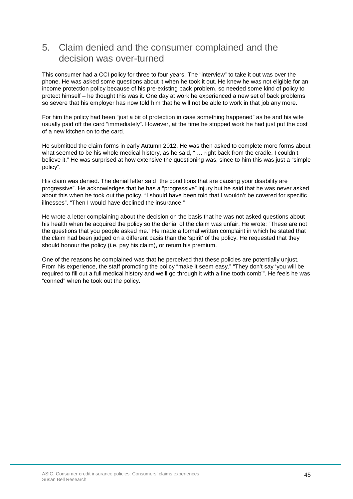### 5. Claim denied and the consumer complained and the decision was over-turned

This consumer had a CCI policy for three to four years. The "interview" to take it out was over the phone. He was asked some questions about it when he took it out. He knew he was not eligible for an income protection policy because of his pre-existing back problem, so needed some kind of policy to protect himself – he thought this was it. One day at work he experienced a new set of back problems so severe that his employer has now told him that he will not be able to work in that job any more.

For him the policy had been "just a bit of protection in case something happened" as he and his wife usually paid off the card "immediately". However, at the time he stopped work he had just put the cost of a new kitchen on to the card.

He submitted the claim forms in early Autumn 2012. He was then asked to complete more forms about what seemed to be his whole medical history, as he said, " ... right back from the cradle. I couldn't believe it." He was surprised at how extensive the questioning was, since to him this was just a "simple policy".

His claim was denied. The denial letter said "the conditions that are causing your disability are progressive". He acknowledges that he has a "progressive" injury but he said that he was never asked about this when he took out the policy. "I should have been told that I wouldn't be covered for specific illnesses". "Then I would have declined the insurance."

He wrote a letter complaining about the decision on the basis that he was not asked questions about his health when he acquired the policy so the denial of the claim was unfair. He wrote: "These are not the questions that you people asked me." He made a formal written complaint in which he stated that the claim had been judged on a different basis than the 'spirit' of the policy. He requested that they should honour the policy (i.e. pay his claim), or return his premium.

One of the reasons he complained was that he perceived that these policies are potentially unjust. From his experience, the staff promoting the policy "make it seem easy." "They don't say 'you will be required to fill out a full medical history and we'll go through it with a fine tooth comb'". He feels he was "conned" when he took out the policy.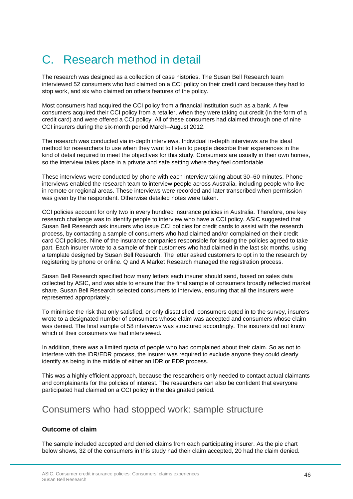## <span id="page-45-0"></span>C. Research method in detail

The research was designed as a collection of case histories. The Susan Bell Research team interviewed 52 consumers who had claimed on a CCI policy on their credit card because they had to stop work, and six who claimed on others features of the policy.

Most consumers had acquired the CCI policy from a financial institution such as a bank. A few consumers acquired their CCI policy from a retailer, when they were taking out credit (in the form of a credit card) and were offered a CCI policy. All of these consumers had claimed through one of nine CCI insurers during the six-month period March–August 2012.

The research was conducted via in-depth interviews. Individual in-depth interviews are the ideal method for researchers to use when they want to listen to people describe their experiences in the kind of detail required to meet the objectives for this study. Consumers are usually in their own homes, so the interview takes place in a private and safe setting where they feel comfortable.

These interviews were conducted by phone with each interview taking about 30–60 minutes. Phone interviews enabled the research team to interview people across Australia, including people who live in remote or regional areas. These interviews were recorded and later transcribed when permission was given by the respondent. Otherwise detailed notes were taken.

CCI policies account for only two in every hundred insurance policies in Australia. Therefore, one key research challenge was to identify people to interview who have a CCI policy. ASIC suggested that Susan Bell Research ask insurers who issue CCI policies for credit cards to assist with the research process, by contacting a sample of consumers who had claimed and/or complained on their credit card CCI policies. Nine of the insurance companies responsible for issuing the policies agreed to take part. Each insurer wrote to a sample of their customers who had claimed in the last six months, using a template designed by Susan Bell Research. The letter asked customers to opt in to the research by registering by phone or online. Q and A Market Research managed the registration process.

Susan Bell Research specified how many letters each insurer should send, based on sales data collected by ASIC, and was able to ensure that the final sample of consumers broadly reflected market share. Susan Bell Research selected consumers to interview, ensuring that all the insurers were represented appropriately.

To minimise the risk that only satisfied, or only dissatisfied, consumers opted in to the survey, insurers wrote to a designated number of consumers whose claim was accepted and consumers whose claim was denied. The final sample of 58 interviews was structured accordingly. The insurers did not know which of their consumers we had interviewed.

In addition, there was a limited quota of people who had complained about their claim. So as not to interfere with the IDR/EDR process, the insurer was required to exclude anyone they could clearly identify as being in the middle of either an IDR or EDR process.

This was a highly efficient approach, because the researchers only needed to contact actual claimants and complainants for the policies of interest. The researchers can also be confident that everyone participated had claimed on a CCI policy in the designated period.

#### Consumers who had stopped work: sample structure

#### **Outcome of claim**

The sample included accepted and denied claims from each participating insurer. As the pie chart below shows, 32 of the consumers in this study had their claim accepted, 20 had the claim denied.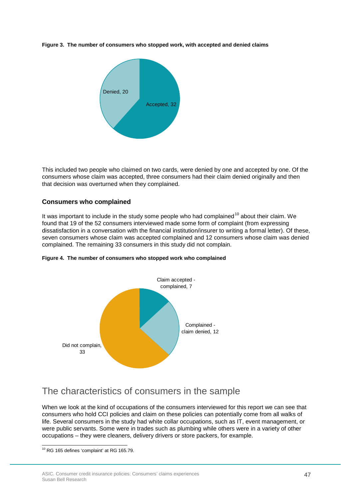**Figure 3. The number of consumers who stopped work, with accepted and denied claims**



This included two people who claimed on two cards, were denied by one and accepted by one. Of the consumers whose claim was accepted, three consumers had their claim denied originally and then that decision was overturned when they complained.

#### **Consumers who complained**

It was important to include in the study some people who had complained<sup>[10](#page-46-0)</sup> about their claim. We found that 19 of the 52 consumers interviewed made some form of complaint (from expressing dissatisfaction in a conversation with the financial institution/insurer to writing a formal letter). Of these, seven consumers whose claim was accepted complained and 12 consumers whose claim was denied complained. The remaining 33 consumers in this study did not complain.



**Figure 4. The number of consumers who stopped work who complained**

### The characteristics of consumers in the sample

When we look at the kind of occupations of the consumers interviewed for this report we can see that consumers who hold CCI policies and claim on these policies can potentially come from all walks of life. Several consumers in the study had white collar occupations, such as IT, event management, or were public servants. Some were in trades such as plumbing while others were in a variety of other occupations – they were cleaners, delivery drivers or store packers, for example.

<span id="page-46-0"></span> $10$  RG 165 defines 'complaint' at RG 165.79. ŧ